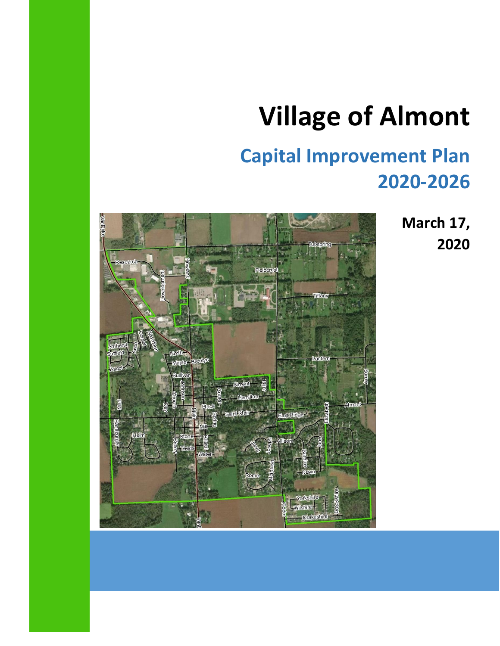## **Village of Almont**

### **Capital Improvement Plan 2020-2026**

**March 17, 2020**

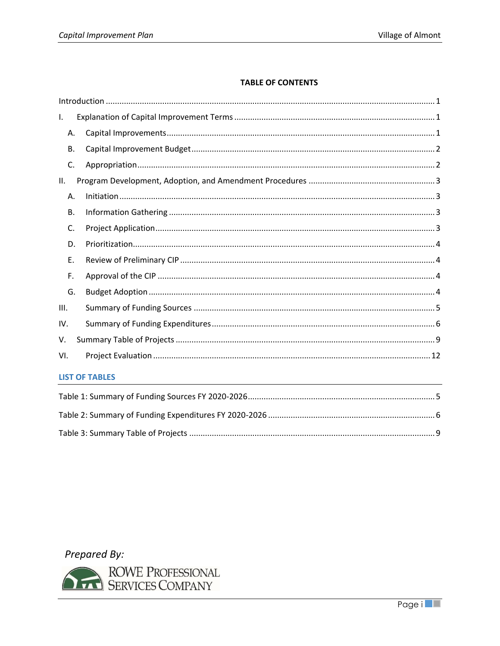#### **TABLE OF CONTENTS**

| $\mathbf{I}$ . |                       |
|----------------|-----------------------|
| Α.             |                       |
| <b>B.</b>      |                       |
| C.             |                       |
| Ш.             |                       |
| Α.             |                       |
| В.             |                       |
| C.             |                       |
| D.             |                       |
| E.             |                       |
| F.             |                       |
| G.             |                       |
| III.           |                       |
| IV.            |                       |
| V.             |                       |
| VI.            |                       |
|                | <b>LIST OF TABLES</b> |
|                |                       |

Prepared By:

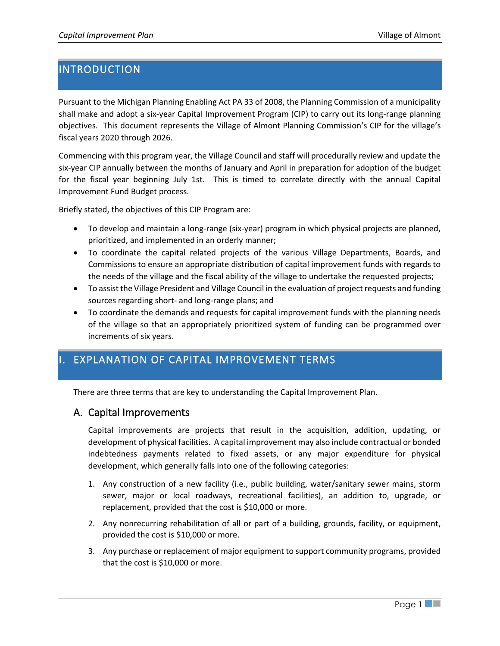#### <span id="page-4-0"></span>**INTRODUCTION**

Pursuant to the Michigan Planning Enabling Act PA 33 of 2008, the Planning Commission of a municipality shall make and adopt a six-year Capital Improvement Program (CIP) to carry out its long-range planning objectives. This document represents the Village of Almont Planning Commission's CIP for the village's fiscal years 2020 through 2026.

Commencing with this program year, the Village Council and staff will procedurally review and update the six-year CIP annually between the months of January and April in preparation for adoption of the budget for the fiscal year beginning July 1st. This is timed to correlate directly with the annual Capital Improvement Fund Budget process.

Briefly stated, the objectives of this CIP Program are:

- To develop and maintain a long-range (six-year) program in which physical projects are planned, prioritized, and implemented in an orderly manner;
- To coordinate the capital related projects of the various Village Departments, Boards, and Commissions to ensure an appropriate distribution of capital improvement funds with regards to the needs of the village and the fiscal ability of the village to undertake the requested projects;
- To assist the Village President and Village Council in the evaluation of project requests and funding sources regarding short- and long-range plans; and
- To coordinate the demands and requests for capital improvement funds with the planning needs of the village so that an appropriately prioritized system of funding can be programmed over increments of six years.

#### <span id="page-4-1"></span>I. EXPLANATION OF CAPITAL IMPROVEMENT TERMS

There are three terms that are key to understanding the Capital Improvement Plan.

#### <span id="page-4-2"></span>A. Capital Improvements

Capital improvements are projects that result in the acquisition, addition, updating, or development of physical facilities. A capital improvement may also include contractual or bonded indebtedness payments related to fixed assets, or any major expenditure for physical development, which generally falls into one of the following categories:

- 1. Any construction of a new facility (i.e., public building, water/sanitary sewer mains, storm sewer, major or local roadways, recreational facilities), an addition to, upgrade, or replacement, provided that the cost is \$10,000 or more.
- 2. Any nonrecurring rehabilitation of all or part of a building, grounds, facility, or equipment, provided the cost is \$10,000 or more.
- 3. Any purchase or replacement of major equipment to support community programs, provided that the cost is \$10,000 or more.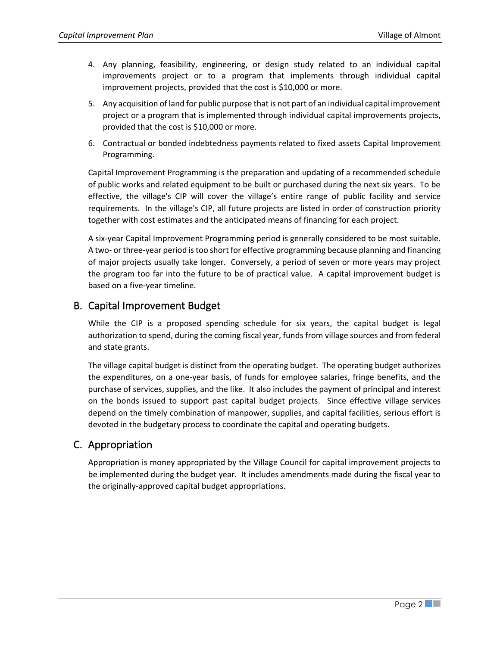- 4. Any planning, feasibility, engineering, or design study related to an individual capital improvements project or to a program that implements through individual capital improvement projects, provided that the cost is \$10,000 or more.
- 5. Any acquisition of land for public purpose that is not part of an individual capital improvement project or a program that is implemented through individual capital improvements projects, provided that the cost is \$10,000 or more.
- 6. Contractual or bonded indebtedness payments related to fixed assets Capital Improvement Programming.

Capital Improvement Programming is the preparation and updating of a recommended schedule of public works and related equipment to be built or purchased during the next six years. To be effective, the village's CIP will cover the village's entire range of public facility and service requirements. In the village's CIP, all future projects are listed in order of construction priority together with cost estimates and the anticipated means of financing for each project.

A six-year Capital Improvement Programming period is generally considered to be most suitable. A two- or three-year period is too short for effective programming because planning and financing of major projects usually take longer. Conversely, a period of seven or more years may project the program too far into the future to be of practical value. A capital improvement budget is based on a five-year timeline.

#### <span id="page-5-0"></span>B. Capital Improvement Budget

While the CIP is a proposed spending schedule for six years, the capital budget is legal authorization to spend, during the coming fiscal year, funds from village sources and from federal and state grants.

The village capital budget is distinct from the operating budget. The operating budget authorizes the expenditures, on a one-year basis, of funds for employee salaries, fringe benefits, and the purchase of services, supplies, and the like. It also includes the payment of principal and interest on the bonds issued to support past capital budget projects. Since effective village services depend on the timely combination of manpower, supplies, and capital facilities, serious effort is devoted in the budgetary process to coordinate the capital and operating budgets.

#### <span id="page-5-1"></span>C. Appropriation

Appropriation is money appropriated by the Village Council for capital improvement projects to be implemented during the budget year. It includes amendments made during the fiscal year to the originally-approved capital budget appropriations.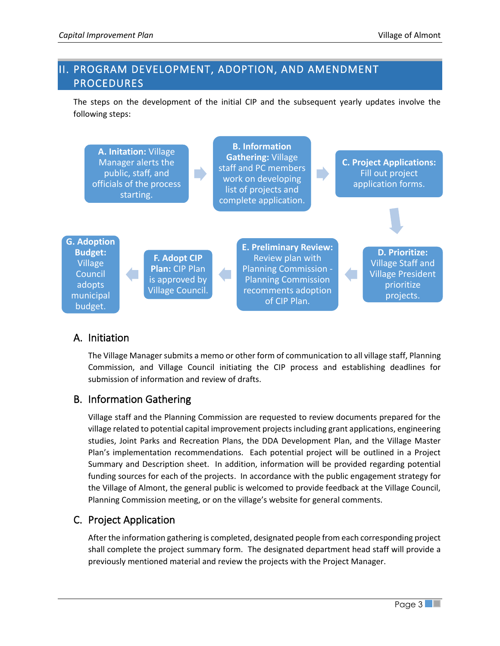#### <span id="page-6-0"></span>II. PROGRAM DEVELOPMENT, ADOPTION, AND AMENDMENT PROCEDURES

The steps on the development of the initial CIP and the subsequent yearly updates involve the following steps:



#### <span id="page-6-1"></span>A. Initiation

The Village Manager submits a memo or other form of communication to all village staff, Planning Commission, and Village Council initiating the CIP process and establishing deadlines for submission of information and review of drafts.

#### <span id="page-6-2"></span>B. Information Gathering

Village staff and the Planning Commission are requested to review documents prepared for the village related to potential capital improvement projects including grant applications, engineering studies, Joint Parks and Recreation Plans, the DDA Development Plan, and the Village Master Plan's implementation recommendations. Each potential project will be outlined in a Project Summary and Description sheet. In addition, information will be provided regarding potential funding sources for each of the projects. In accordance with the public engagement strategy for the Village of Almont, the general public is welcomed to provide feedback at the Village Council, Planning Commission meeting, or on the village's website for general comments.

#### <span id="page-6-3"></span>C. Project Application

After the information gathering is completed, designated people from each corresponding project shall complete the project summary form. The designated department head staff will provide a previously mentioned material and review the projects with the Project Manager.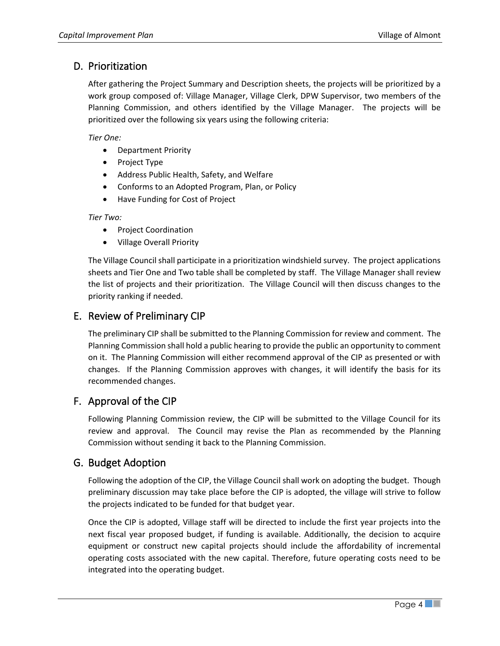#### <span id="page-7-0"></span>D. Prioritization

After gathering the Project Summary and Description sheets, the projects will be prioritized by a work group composed of: Village Manager, Village Clerk, DPW Supervisor, two members of the Planning Commission, and others identified by the Village Manager. The projects will be prioritized over the following six years using the following criteria:

*Tier One:*

- Department Priority
- Project Type
- Address Public Health, Safety, and Welfare
- Conforms to an Adopted Program, Plan, or Policy
- Have Funding for Cost of Project

*Tier Two:* 

- Project Coordination
- Village Overall Priority

The Village Council shall participate in a prioritization windshield survey. The project applications sheets and Tier One and Two table shall be completed by staff. The Village Manager shall review the list of projects and their prioritization. The Village Council will then discuss changes to the priority ranking if needed.

#### <span id="page-7-1"></span>E. Review of Preliminary CIP

The preliminary CIP shall be submitted to the Planning Commission for review and comment. The Planning Commission shall hold a public hearing to provide the public an opportunity to comment on it. The Planning Commission will either recommend approval of the CIP as presented or with changes. If the Planning Commission approves with changes, it will identify the basis for its recommended changes.

#### <span id="page-7-2"></span>F. Approval of the CIP

Following Planning Commission review, the CIP will be submitted to the Village Council for its review and approval. The Council may revise the Plan as recommended by the Planning Commission without sending it back to the Planning Commission.

#### <span id="page-7-3"></span>G. Budget Adoption

Following the adoption of the CIP, the Village Council shall work on adopting the budget. Though preliminary discussion may take place before the CIP is adopted, the village will strive to follow the projects indicated to be funded for that budget year.

Once the CIP is adopted, Village staff will be directed to include the first year projects into the next fiscal year proposed budget, if funding is available. Additionally, the decision to acquire equipment or construct new capital projects should include the affordability of incremental operating costs associated with the new capital. Therefore, future operating costs need to be integrated into the operating budget.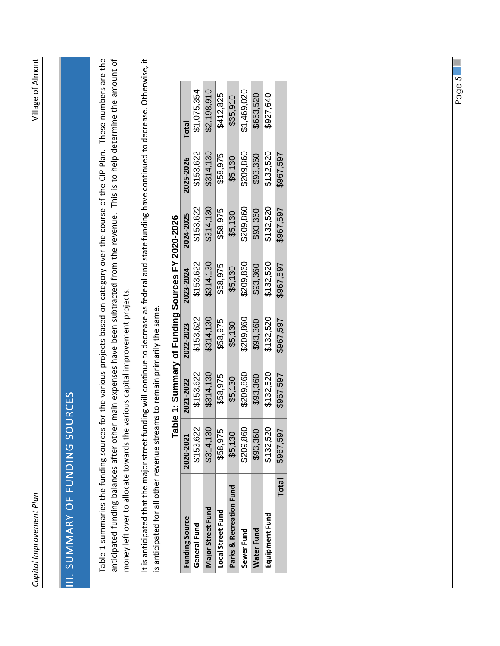# <span id="page-8-2"></span><span id="page-8-1"></span>III. SUMMARY OF FUNDING SOURCES **II. SUMMARY OF FUNDING SOURCES**

Table 1 summaries the funding sources for the various projects based on category over the course of the CIP Plan. These numbers are the [Table 1](#page-8-2) summaries the funding sources for the various projects based on category over the course of the CIP Plan. These numbers are the anticipated funding balances after other main expenses have been subtracted from the revenue. This is to help determine the amount of anticipated funding balances after other main expenses have been subtracted from the revenue. This is to help determine the amount of money left over to allocate towards the various capital improvement projects. money left over to allocate towards the various capital improvement projects. It is anticipated that the major street funding will continue to decrease as federal and state funding have continued to decrease. Otherwise, it It is anticipated that the major street funding will continue to decrease as federal and state funding have continued to decrease. Otherwise, it is anticipated for all other revenue streams to remain primarily the same. is anticipated for all other revenue streams to remain primarily the same.

|                          |                |           |           | <b>9202-2022 A 4 Secretary : Le Sandrand A 2020-2022 - 2020</b> |           |           |             |
|--------------------------|----------------|-----------|-----------|-----------------------------------------------------------------|-----------|-----------|-------------|
| <b>Funding Source</b>    | 2020-2021      | 2021-2022 | 2022-2023 | 2023-2024                                                       | 2024-2025 | 2025-2026 | Total       |
| General Fund             | \$153,622      | \$153,622 | \$153,622 | \$153,622                                                       | \$153,622 | \$153,622 | \$1,075,354 |
| <b>Major Street Fund</b> | 14,130<br>\$31 | \$314,130 | \$314,130 | \$314,130                                                       | \$314,130 | \$314,130 | \$2,198,910 |
| Local Street Fund        | \$58,975       | \$58,975  | \$58,975  | \$58,975                                                        | \$58,975  | \$58,975  | \$412,825   |
| Parks & Recreation Fund  | \$5,130        | \$5,130   | \$5,130   | \$5,130                                                         | \$5,130   | \$5,130   | \$35,910    |
| Sewer Fund               | \$209,860      | \$209,860 | \$209,860 | \$209,860                                                       | \$209,860 | \$209,860 | \$1,469,020 |
| <b>Water Fund</b>        | \$93,360       | \$93,360  | \$93,360  | \$93,360                                                        | \$93,360  | \$93,360  | \$653,520   |
| Equipment Fund           | \$132,520      | \$132,520 | \$132,520 | \$132,520                                                       | \$132,520 | \$132,520 | \$927,640   |
| <b>Total</b>             | \$967,597      | \$967,597 | \$967,597 | \$967,597                                                       | \$967,597 | \$967,597 |             |

## <span id="page-8-0"></span>**Table 1: Summary of Funding Sources FY 2020-2026** ì  $\epsilon$ ł ׇׇ֧֡֡׆<br>֛֞  $\overline{\phantom{a}}$  $\ddot{\phantom{a}}$  $T = 1.1$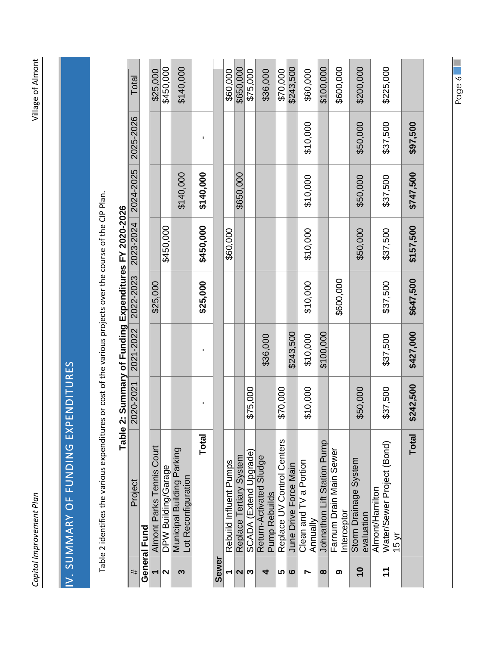| Ì                                  |
|------------------------------------|
|                                    |
|                                    |
| i<br>j                             |
|                                    |
| l<br>ĺ<br>$\overline{1}$<br>:<br>: |
| <b>:</b>                           |
|                                    |
|                                    |
|                                    |
|                                    |
|                                    |
|                                    |
|                                    |
|                                    |
|                                    |
|                                    |
|                                    |
|                                    |
|                                    |
|                                    |
|                                    |
|                                    |
|                                    |
|                                    |
|                                    |
|                                    |
|                                    |
|                                    |
|                                    |
|                                    |
|                                    |
|                                    |
|                                    |
|                                    |
|                                    |
|                                    |
|                                    |
|                                    |
|                                    |
|                                    |
|                                    |
|                                    |
|                                    |
|                                    |
|                                    |
|                                    |
|                                    |
|                                    |
|                                    |
| $\ddot{\phantom{a}}$               |
| Í                                  |
|                                    |
|                                    |
|                                    |
|                                    |
|                                    |
|                                    |
| $\overline{\phantom{a}}$           |
| S<br>֠<br>$\overline{\phantom{a}}$ |
| I<br>Ĵ                             |

# <span id="page-9-2"></span>IV. SUMMARY OF FUNDING EXPENDITURES IV. SUMMARY OF FUNDING EXPENDITURES

<span id="page-9-1"></span><span id="page-9-0"></span>Table 2 identifies the various expenditures or cost of the various projects over the course of the CIP Plan. [Table 2](#page-9-2) identifies the various expenditures or cost of the various projects over the course of the CIP Plan.

|                         | Table                                                            |           | 2: Summary of Funding Expenditures FY 2020-2026 |           |           |           |           |           |
|-------------------------|------------------------------------------------------------------|-----------|-------------------------------------------------|-----------|-----------|-----------|-----------|-----------|
| #                       | Project                                                          | 2020-2021 | 2021-2022                                       | 2022-2023 | 2023-2024 | 2024-2025 | 2025-2026 | Total     |
|                         | General Fund                                                     |           |                                                 |           |           |           |           |           |
|                         | Almont Parks Tennis Court                                        |           |                                                 | \$25,000  |           |           |           | \$25,000  |
| $\mathbf{\Omega}$       | DPW Building/Garage                                              |           |                                                 |           | \$450,000 |           |           | \$450,000 |
| ო                       | Municipal Building Parking<br>Lot Reconfiguration                |           |                                                 |           |           | \$140,000 |           | \$140,000 |
|                         | Total                                                            |           |                                                 | \$25,000  | \$450,000 | \$140,000 |           |           |
| Sewer                   |                                                                  |           |                                                 |           |           |           |           |           |
|                         | Rebuild Influent Pumps                                           |           |                                                 |           | \$60,000  |           |           | \$60,000  |
| $\mathbf{\Omega}$       | Replace Tertiary System                                          |           |                                                 |           |           | \$650,000 |           | \$650,000 |
| ო                       | SCADA (Extend Upgrade)                                           | \$75,000  |                                                 |           |           |           |           | \$75,000  |
| đ                       | Return-Activated Sludge<br><b>Pump Rebuilds</b>                  |           | \$36,000                                        |           |           |           |           | \$36,000  |
| ம                       | Replace UV Control Centers                                       | \$70,000  |                                                 |           |           |           |           | \$70,000  |
| ဖ                       | June Drive Force Main                                            |           | \$243,500                                       |           |           |           |           | \$243,500 |
|                         | Clean and TV a Portion<br>Annually                               | \$10,000  | \$10,000                                        | \$10,000  | \$10,000  | \$10,000  | \$10,000  | \$60,000  |
| ထ                       | Johnathon Lift Station Pump                                      |           | \$100,000                                       |           |           |           |           | \$100,000 |
| თ                       | Farnum Drain Main Sewer<br>Interceptor                           |           |                                                 | \$600,000 |           |           |           | \$600,000 |
| $\overline{\mathbf{C}}$ | Storm Drainage System<br>evaluation                              | \$50,000  |                                                 |           | \$50,000  | \$50,000  | \$50,000  | \$200,000 |
|                         | Water/Sewer Project (Bond)<br>Almont/Hamilton<br>$15 \text{ yr}$ | \$37,500  | \$37,500                                        | \$37,500  | \$37,500  | \$37,500  | \$37,500  | \$225,000 |
|                         | Total                                                            | \$242,500 | \$427,000                                       | \$647,500 | \$157,500 | \$747,500 | \$97,500  |           |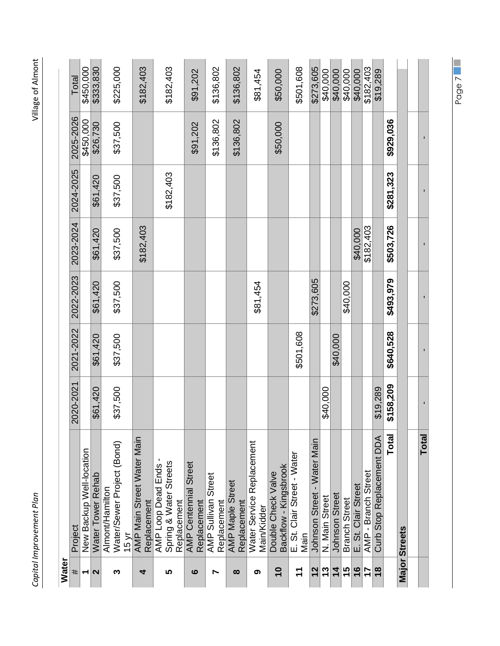| Water                    |                                             |           |           |           |           |           |           |           |
|--------------------------|---------------------------------------------|-----------|-----------|-----------|-----------|-----------|-----------|-----------|
| #                        | Project                                     | 2020-2021 | 2021-2022 | 2022-2023 | 2023-2024 | 2024-2025 | 2025-2026 | Total     |
| $\overline{\phantom{0}}$ | New Backup Well-location                    |           |           |           |           |           | \$450,000 | \$450,000 |
| $\mathbf{\Omega}$        | Water Tower Rehab                           | \$61,420  | \$61,420  | \$61,420  | \$61,420  | \$61,420  | \$26,730  | \$333,830 |
|                          | Almont/Hamilton                             |           |           |           |           |           |           |           |
| ო                        | Water/Sewer Project (Bond)<br>15 vr         | \$37,500  | \$37,500  | \$37,500  | \$37,500  | \$37,500  | \$37,500  | \$225,000 |
|                          | AMP Main Street Water Main                  |           |           |           |           |           |           |           |
| 4                        | Replacement                                 |           |           |           | \$182,403 |           |           | \$182,403 |
|                          | AMP Loop Dead Ends                          |           |           |           |           |           |           |           |
| မာ                       | Spring & Water Streets                      |           |           |           |           | \$182,403 |           | \$182,403 |
|                          | Replacement                                 |           |           |           |           |           |           |           |
| ဖ                        | <b>AMP Centennial Street</b><br>Replacement |           |           |           |           |           | \$91,202  | \$91,202  |
|                          |                                             |           |           |           |           |           |           |           |
| Ľ                        | AMP Sullivan Street<br>Replacement          |           |           |           |           |           | \$136,802 | \$136,802 |
|                          | <b>AMP Maple Street</b>                     |           |           |           |           |           |           |           |
| ထ                        | Replacement                                 |           |           |           |           |           | \$136,802 | \$136,802 |
| ග                        | Water Service Replacement                   |           |           | \$81,454  |           |           |           | \$81,454  |
|                          | Main/Kidder                                 |           |           |           |           |           |           |           |
| $\overline{\phantom{0}}$ | Backflow - Kingsbrook<br>Double Check Valve |           |           |           |           |           | \$50,000  | \$50,000  |
|                          |                                             |           |           |           |           |           |           |           |
| $\mathbf{r}$             | E. St. Clair Street - Water<br>Main         |           | \$501,608 |           |           |           |           | \$501,608 |
| $\frac{2}{3}$            | Johnson Street - Water Main                 |           |           | \$273,605 |           |           |           | \$273,605 |
| 13                       | N. Main Street                              | \$40,000  |           |           |           |           |           | \$40,000  |
| $\overline{\bf 4}$       | <b>Johnson Street</b>                       |           | \$40,000  |           |           |           |           | \$40,000  |
| 15                       | <b>Branch Street</b>                        |           |           | \$40,000  |           |           |           | \$40,000  |
| $\frac{6}{5}$            | E. St. Clair Street                         |           |           |           | \$40,000  |           |           | \$40,000  |
| 17                       | AMP - Branch Street                         |           |           |           | \$182,403 |           |           | \$182,403 |
| $\frac{8}{3}$            | Curb Stop Replacement DDA                   | \$19,289  |           |           |           |           |           | \$19,289  |
|                          | Total                                       | \$158,209 | \$640,528 | \$493,979 | \$503,726 | \$281,323 | \$929,036 |           |
|                          | <b>Major Streets</b>                        |           |           |           |           |           |           |           |
|                          |                                             |           |           |           |           |           |           |           |
|                          | Total                                       |           |           |           |           |           |           |           |

Village of Almont

*Capital Improvement Plan* Village of Almont Capital Improvement Plan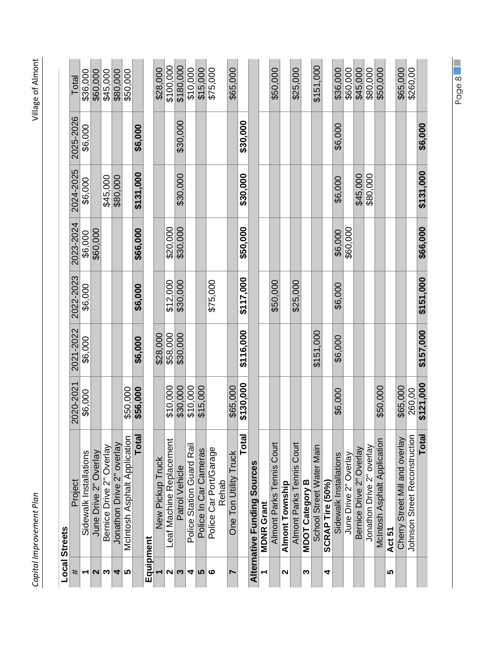| ţ                           |
|-----------------------------|
| Ï<br>j                      |
| j<br>֘֒<br>į<br>j<br>3<br>י |
| $\ddot{ }$                  |
|                             |
|                             |
|                             |
|                             |
|                             |
|                             |
|                             |
|                             |
|                             |
|                             |
|                             |
|                             |
|                             |
|                             |
|                             |
|                             |
|                             |
|                             |
|                             |
|                             |
|                             |
| l                           |
| Ì                           |
|                             |
|                             |
| ä                           |
| Ś<br>I                      |

| ι      |  |
|--------|--|
| J      |  |
| ς<br>ċ |  |
| г      |  |
|        |  |
|        |  |

|                          | <b>Local Streets</b>               |           |           |           |           |           |           |           |
|--------------------------|------------------------------------|-----------|-----------|-----------|-----------|-----------|-----------|-----------|
| #                        | Project                            | 2020-2021 | 2021-2022 | 2022-2023 | 2023-2024 | 2024-2025 | 2025-2026 | Total     |
| $\overline{\phantom{0}}$ | Sidewalk Installations             | \$6,000   | \$6,000   | \$6,000   | \$6,000   | \$6,000   | \$6,000   | \$36,000  |
|                          | June Drive 2" Overlay              |           |           |           | \$60,000  |           |           | \$60,000  |
| പത                       | Bernice Drive 2" Overlay           |           |           |           |           | \$45,000  |           | \$45,000  |
| 4                        | Jonathon Drive 2" overlay          |           |           |           |           | \$80,000  |           | \$80,000  |
| ∣ທ                       | McIntosh Asphalt Application       | \$50,000  |           |           |           |           |           | \$50,000  |
|                          | Total                              | \$56,000  | \$6,000   | \$6,000   | \$66,000  | \$131,000 | \$6,000   |           |
|                          | Equipment                          |           |           |           |           |           |           |           |
|                          | New Pickup Truck                   |           | \$28,000  |           |           |           |           | \$28,000  |
| $\mathbf{\Omega}$        | Leaf Machine Replacement           | \$10,000  | \$58,000  | \$12,000  | \$20,000  |           |           | \$100,000 |
| ∣ຕ                       | Patrol Vehicle                     | \$30,000  | \$30,000  | \$30,000  | \$30,000  | \$30,000  | \$30,000  | \$180,000 |
| 4                        | Police Station Guard Rail          | \$10,000  |           |           |           |           |           | \$10,000  |
|                          | Police In Car Cameras              | \$15,000  |           |           |           |           |           | \$15,000  |
| ဖ                        | Police Car Port/Garage             |           |           | \$75,000  |           |           |           | \$75,000  |
|                          | Rehab                              |           |           |           |           |           |           |           |
|                          | One Ton Utility Truck              | \$65,000  |           |           |           |           |           | \$65,000  |
|                          | Total                              | \$130,000 | \$116,000 | \$117,000 | \$50,000  | \$30,000  | \$30,000  |           |
|                          | <b>Alternative Funding Sources</b> |           |           |           |           |           |           |           |
| ٣                        | <b>MDNR Grant</b>                  |           |           |           |           |           |           |           |
|                          | Almont Parks Tennis Court          |           |           | \$50,000  |           |           |           | \$50,000  |
| $\mathbf{\Omega}$        | Almont Township                    |           |           |           |           |           |           |           |
|                          | Almont Parks Tennis Court          |           |           | \$25,000  |           |           |           | \$25,000  |
| S                        | MDOT Category B                    |           |           |           |           |           |           |           |
|                          | School Street Water Main           |           | \$151,000 |           |           |           |           | \$151,000 |
| 4                        | SCRAP Tire (50%)                   |           |           |           |           |           |           |           |
|                          | Sidewalk Installations             | \$6,000   | \$6,000   | \$6,000   | \$6,000   | \$6,000   | \$6,000   | \$36,000  |
|                          | June Drive 2" Overlay              |           |           |           | \$60,000  |           |           | \$60,000  |
|                          | Bernice Drive 2" Overlay           |           |           |           |           | \$45,000  |           | \$45,000  |
|                          | Jonathon Drive 2" overlay          |           |           |           |           | \$80,000  |           | \$80,000  |
|                          | McIntosh Asphalt Application       | \$50,000  |           |           |           |           |           | \$50,000  |
| 5                        | Act 51                             |           |           |           |           |           |           |           |
|                          | Cherry Street Mill and overlay     | \$65,000  |           |           |           |           |           | \$65,000  |
|                          | Johnson Street Reconstruction      | 260,00    |           |           |           |           |           | \$260,00  |
|                          | Total                              | \$121,000 | \$157,000 | \$151,000 | \$66,000  | \$131,000 | \$6,000   |           |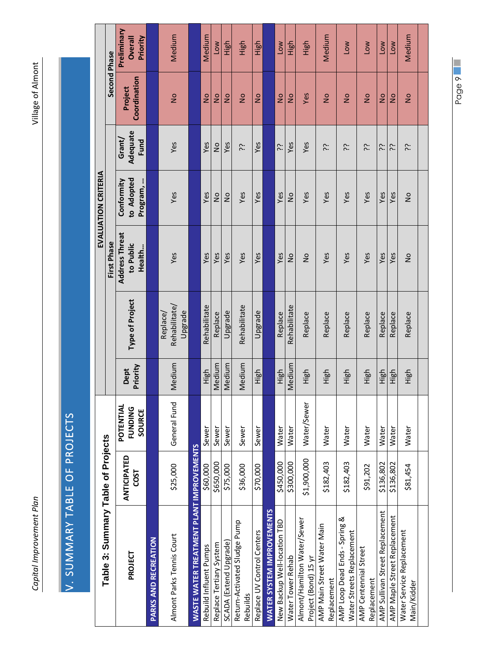<span id="page-12-0"></span>*Capital Improvement Plan* Village of Almont Capital Improvement Plan

# <span id="page-12-1"></span>V. SUMMARY TABLE OF PROJECTS V. SUMMARY TABLE OF PROJECTS

| Table 3: Summary Table of Projects                         |                                   |                                       |                  |                                      |                                              | EVALUATION CRITERIA                  |                            |                         |                                    |
|------------------------------------------------------------|-----------------------------------|---------------------------------------|------------------|--------------------------------------|----------------------------------------------|--------------------------------------|----------------------------|-------------------------|------------------------------------|
|                                                            |                                   |                                       |                  |                                      | First Phase                                  |                                      |                            | Second Phase            |                                    |
| PROJECT                                                    | <b>ANTICIPATED</b><br><b>COST</b> | POTENTIAL<br><b>FUNDING</b><br>SOURCE | Priority<br>Dept | Type of Project                      | <b>Address Threat</b><br>to Public<br>Health | to Adopted<br>Conformity<br>Program, | Adequate<br>Grant/<br>Fund | Coordination<br>Project | Preliminary<br>Priority<br>Overall |
| <b>PARKS AND RECREATION</b>                                |                                   |                                       |                  |                                      |                                              |                                      |                            |                         |                                    |
| Almont Parks Tennis Court                                  | \$25,000                          | General Fund                          | Medium           | Rehabilitate,<br>Upgrade<br>Replace/ | Yes                                          | Yes                                  | Yes                        | $\frac{1}{2}$           | Medium                             |
| WASTE WATER TREATMENT PLANT IMPROVEMENTS                   |                                   |                                       |                  |                                      |                                              |                                      |                            |                         |                                    |
| Rebuild Influent Pumps                                     | \$60,000                          | Sewer                                 | High             | Rehabilitate                         | Yes                                          | Yes                                  | Yes                        | $\frac{1}{2}$           | Medium                             |
| Replace Tertiary System                                    | \$650,000                         | Sewer                                 | Medium           | Replace                              | Yes                                          | $\frac{1}{2}$                        | $\frac{1}{2}$              | $\frac{1}{2}$           | <b>NOT</b>                         |
| SCADA (Extend Upgrade)                                     | \$75,000                          | Sewer                                 | Medium           | Upgrade                              | Yes                                          | $\frac{1}{2}$                        | Yes                        | $\frac{1}{2}$           | High                               |
| Return-Activated Sludge Pump<br>Rebuilds                   | \$36,000                          | Sewer                                 | Medium           | Rehabilitate                         | Yes                                          | Yes                                  | 5.                         | $\frac{1}{2}$           | High                               |
| Replace UV Control Centers                                 | \$70,000                          | Sewer                                 | High             | Upgrade                              | Yes                                          | Yes                                  | Yes                        | $\frac{1}{2}$           | High                               |
| <b>WATER SYSTEM IMPROVEMENTS</b>                           |                                   |                                       |                  |                                      |                                              |                                      |                            |                         |                                    |
| New Backup Well-location TBD                               | \$450,000                         | Water                                 | High             | Replace                              | Yes                                          | Yes                                  | <u>بن</u>                  | $\frac{1}{2}$           | Low                                |
| Water Tower Rehab                                          | \$300,000                         | Water                                 | Medium           | Rehabilitate                         | $\frac{1}{2}$                                | $\frac{1}{2}$                        | Yes                        | $\frac{1}{2}$           | High                               |
| Almont/Hamilton Water/Sewer<br>Project (Bond) 15 yr        | \$1,900,000                       | Water/Sewer                           | High             | Replace                              | $\frac{1}{2}$                                | Yes                                  | Yes                        | Yes                     | High                               |
| AMP Main Street Water Main<br>Replacement                  | \$182,403                         | Water                                 | High             | Replace                              | Yes                                          | Yes                                  | 5.                         | $\frac{1}{2}$           | Medium                             |
| AMP Loop Dead Ends - Spring &<br>Water Streets Replacement | \$182,403                         | Water                                 | High             | Replace                              | Yes                                          | Yes                                  | <b>بن</b>                  | $\frac{1}{2}$           | Low                                |
| AMP Centennial Street<br>Replacement                       | \$91,202                          | <b>Water</b>                          | High             | Replace                              | Yes                                          | Yes                                  | <b>بن</b>                  | $\frac{1}{2}$           | <b>NOT</b>                         |
| AMP Sullivan Street Replacement                            | \$136,802                         | Water                                 | High             | Replace                              | Yes                                          | Yes                                  | بر<br>:                    | $\frac{1}{2}$           | Low                                |
| AMP Maple Street Replacement                               | \$136,802                         | Water                                 | High             | Replace                              | Yes                                          | Yes                                  | بر<br>:                    | $\frac{1}{2}$           | <b>NOT</b>                         |
| Water Service Replacement<br>Main/Kidder                   | \$81,454                          | Water                                 | High             | Replace                              | $\frac{1}{2}$                                | $\frac{1}{2}$                        | نئ                         | $\frac{1}{2}$           | Medium                             |
|                                                            |                                   |                                       |                  |                                      |                                              |                                      |                            |                         |                                    |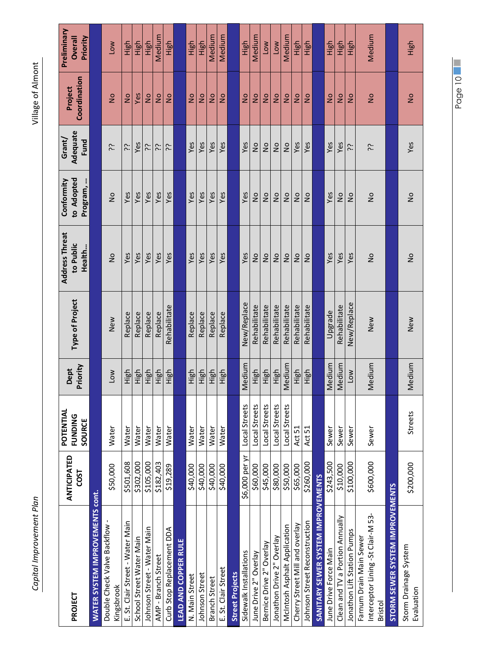| ļ                         |
|---------------------------|
|                           |
|                           |
| j                         |
| Ï                         |
| ĺ<br>$\overline{1}$<br>l  |
| :<br>$\ddot{\phantom{0}}$ |
|                           |
|                           |
|                           |
|                           |
|                           |
|                           |
|                           |
|                           |
|                           |
|                           |
|                           |
|                           |
|                           |
|                           |
|                           |
|                           |
|                           |
|                           |
|                           |
|                           |
|                           |
|                           |
|                           |
|                           |
|                           |
|                           |
|                           |
|                           |
|                           |
|                           |
|                           |
|                           |
|                           |
|                           |
|                           |
|                           |
|                           |
|                           |
|                           |
|                           |
|                           |
|                           |
|                           |
|                           |
|                           |
|                           |
|                           |
| $\vdots$                  |
| í                         |
|                           |
| I                         |
|                           |
|                           |
|                           |
|                           |
|                           |
| ֦֧֦֧֦֧                    |
| S<br>֠                    |
| I                         |

Village of Almont

| PROJECT                                                       | <b>ANTICIPATED</b><br><b>COST</b> | POTENTIAL<br><b>FUNDING</b><br>SOURCE | Priority<br>Dept | Type of Project | <b>Address Threat</b><br>to Public<br>Health | to Adopted<br>Conformity<br>Program, | Adequate<br>Grant/<br>Fund | Coordination<br>Project | Preliminary<br><b>Overall</b><br>Priority |
|---------------------------------------------------------------|-----------------------------------|---------------------------------------|------------------|-----------------|----------------------------------------------|--------------------------------------|----------------------------|-------------------------|-------------------------------------------|
| <b>WATER SYSTEM IMPROVEMENTS cont.</b>                        |                                   |                                       |                  |                 |                                              |                                      |                            |                         |                                           |
| Double Check Valve Backflow -<br>Kingsbrook                   | \$50,000                          | Water                                 | Low              | New             | $\frac{1}{2}$                                | $\frac{1}{2}$                        | <b>بن</b>                  | $\frac{1}{2}$           | Low                                       |
| E. St. Clair Street - Water Main                              | \$501,608                         | Water                                 | High             | Replace         | Yes                                          | Yes                                  | بن                         | $\frac{1}{2}$           | High                                      |
| School Street Water Main                                      | \$302,000                         | Water                                 | High             | Replace         | Yes                                          | Yes                                  | Yes                        | Yes                     | High                                      |
| Johnson Street - Water Main                                   | \$105,000                         | Water                                 | High             | Replace         | Yes                                          | Yes                                  | 5.                         | $\frac{1}{2}$           | High                                      |
| AMP - Branch Street                                           | \$182,403                         | Water                                 | High             | Replace         | Yes                                          | Yes                                  | 5.                         | $\frac{1}{2}$           | Medium                                    |
| Curb Stop Replacement DDA                                     | \$19,289                          | Water                                 | High             | Rehabilitate    | Yes                                          | Yes                                  | <u>بن</u>                  | $\frac{1}{2}$           | High                                      |
| <b>LEAD AND COPPER RULE</b>                                   |                                   |                                       |                  |                 |                                              |                                      |                            |                         |                                           |
| N. Main Street                                                | \$40,000                          | Water                                 | High             | Replace         | Yes                                          | Yes                                  | Yes                        | $\frac{1}{2}$           | High                                      |
| Johnson Street                                                | \$40,000                          | Water                                 | High             | Replace         | Yes                                          | Yes                                  | Yes                        | $\frac{1}{2}$           | High                                      |
| <b>Branch Street</b>                                          | \$40,000                          | Water                                 | High             | Replace         | Yes                                          | Yes                                  | Yes                        | $\frac{1}{2}$           | Medium                                    |
| E. St. Clair Street                                           | \$40,000                          | Water                                 | High             | Replace         | Yes                                          | Yes                                  | Yes                        | $\frac{1}{2}$           | Medium                                    |
| <b>Street Projects</b>                                        |                                   |                                       |                  |                 |                                              |                                      |                            |                         |                                           |
| Sidewalk Installations                                        | \$6,000 per yr                    | Local Streets                         | Medium           | New/Replace     | Yes                                          | Yes                                  | Yes                        | $\frac{1}{2}$           | High                                      |
| June Drive 2" Overlay                                         | \$60,000                          | Local Streets                         | High             | Rehabilitate    | $\frac{1}{2}$                                | $\frac{1}{2}$                        | $\frac{1}{2}$              | $\frac{1}{2}$           | Medium                                    |
| Bernice Drive 2" Overlay                                      | \$45,000                          | Local Streets                         | High             | Rehabilitate    | $\frac{1}{2}$                                | $\frac{1}{2}$                        | $\frac{1}{2}$              | $\frac{1}{2}$           | <b>NO<sub>1</sub></b>                     |
| Jonathon Drive 2" Overlay                                     | \$80,000                          | Local Streets                         | High             | Rehabilitate    | $\frac{1}{2}$                                | $\frac{1}{2}$                        | $\frac{1}{2}$              | $\frac{1}{2}$           | <b>NOT</b>                                |
| McIntosh Asphalt Application                                  | \$50,000                          | Local Streets                         | Medium           | Rehabilitate    | $\frac{1}{2}$                                | $\frac{1}{2}$                        | $\frac{1}{2}$              | $\frac{1}{2}$           | Medium                                    |
| Cherry Street Mill and overlay                                | \$65,000                          | Act 51                                | High             | Rehabilitate    | $\frac{1}{2}$                                | $\frac{1}{2}$                        | Yes                        | $\frac{1}{2}$           | High                                      |
| Johnson Street Reconstruction                                 | \$260,000                         | Act 51                                | High             | Rehabilitate    | $\frac{1}{2}$                                | $\frac{1}{2}$                        | Yes                        | $\frac{1}{2}$           | High                                      |
| SANITARY SEWER SYSTEM IMPROVEMENTS                            |                                   |                                       |                  |                 |                                              |                                      |                            |                         |                                           |
| June Drive Force Main                                         | \$243,500                         | Sewer                                 | Medium           | Upgrade         | Yes                                          | Yes                                  | Yes                        | $\frac{1}{2}$           | High                                      |
| Clean and TV a Portion Annually                               | \$10,000                          | Sewer                                 | Medium           | Rehabilitate    | Yes                                          | $\frac{1}{2}$                        | Yes                        | $\frac{1}{2}$           | High                                      |
| Jonathon Lift Station Pumps                                   | \$100,000                         | Sewer                                 | Low              | New/Replace     | Yes                                          | $\frac{1}{2}$                        | 5:                         | $\frac{1}{2}$           | 다.<br>도                                   |
| Interceptor Lining -St Clair-M 53-<br>Farnum Drain Main Sewer | \$600,000                         | Sewer                                 | Medium           | New             | $\frac{1}{2}$                                | $\frac{1}{2}$                        | <b>بن</b>                  | $\frac{1}{2}$           | Medium                                    |
| Bristol                                                       |                                   |                                       |                  |                 |                                              |                                      |                            |                         |                                           |
| STORM SEWER SYSTEM IMPROVEMENTS                               |                                   |                                       |                  |                 |                                              |                                      |                            |                         |                                           |
| Storm Drainage System<br>Evaluation                           | \$200,000                         | <b>Streets</b>                        | Medium           | New             | $\frac{1}{2}$                                | $\frac{1}{2}$                        | Yes                        | $\frac{1}{2}$           | High                                      |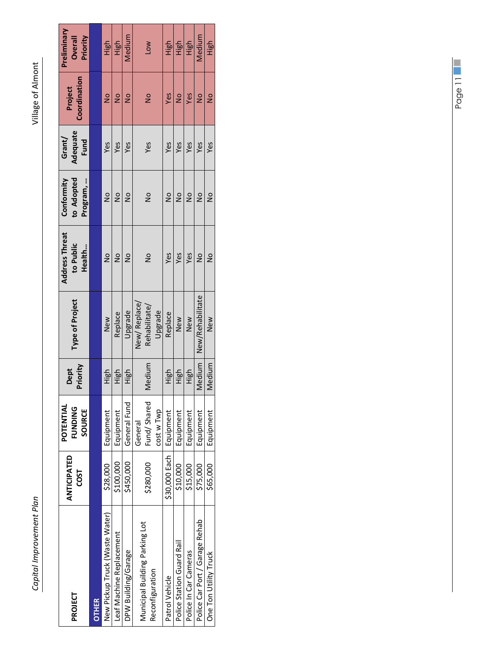| PROJECT                                           | <b>ANTICIPATED</b><br><b>COST</b> | POTENTIAL<br><b>FUNDING</b><br>SOURCE | Priority<br>Dept | Type of Project                          | <b>Address Threat</b><br>to Public<br>Health | to Adopted<br>Program,<br>Conformity | Adequate<br>Grant/<br>Fund | Coordination<br>Project | Preliminary<br>Priority<br>Overall |
|---------------------------------------------------|-----------------------------------|---------------------------------------|------------------|------------------------------------------|----------------------------------------------|--------------------------------------|----------------------------|-------------------------|------------------------------------|
| <b>OTHER</b>                                      |                                   |                                       |                  |                                          |                                              |                                      |                            |                         |                                    |
| New Pickup Truck (Waste Water)                    | \$28,000                          | Equipment                             | High             | New                                      | $\frac{1}{2}$                                | $\frac{1}{2}$                        | Yes                        | $\frac{1}{2}$           | High                               |
| Leaf Machine Replacement                          | \$100,000                         | Equipment                             | High             | Replace                                  | $\frac{1}{2}$                                | $\frac{1}{2}$                        | Yes                        | $\frac{1}{2}$           | High                               |
| DPW Building/Garage                               | \$450,000                         | General Fund                          | High             | Upgrade                                  | $\frac{1}{2}$                                | $\frac{1}{2}$                        | Yes                        | $\frac{1}{2}$           | Medium                             |
| Municipal Building Parking Lot<br>Reconfiguration | \$280,000                         | Fund/Shared<br>cost w Twp<br>General  | Medium           | New/Replace/<br>Rehabilitate/<br>Upgrade | $\frac{1}{2}$                                | $\frac{1}{2}$                        | Yes                        | $\frac{1}{2}$           | Low                                |
| Patrol Vehicle                                    | \$30,000 Each                     | Equipment                             | High             | Replace                                  | Yes                                          | $\frac{1}{2}$                        | Yes                        | Yes                     | High                               |
| Police Station Guard Rail                         | \$10,000                          | Equipment                             | High             | New                                      | Yes                                          | $\frac{1}{2}$                        | Yes                        | $\frac{1}{2}$           | High                               |
| Police In Car Cameras                             | \$15,000                          | Equipment                             | High             | New                                      | Yes                                          | $\frac{1}{2}$                        | Yes                        | Yes                     | High                               |
| Police Car Port / Garage Rehab                    | \$75,000                          | Equipment                             | Medium           | New/Rehabilitate                         | $\frac{1}{2}$                                | $\frac{1}{2}$                        | Yes                        | $\frac{1}{2}$           | Medium                             |
| One Ton Utility Truck                             | \$65,000                          | Equipment                             | Medium           | New                                      | $\frac{1}{2}$                                | $\frac{1}{2}$                        | Yes                        | $\frac{1}{2}$           | High                               |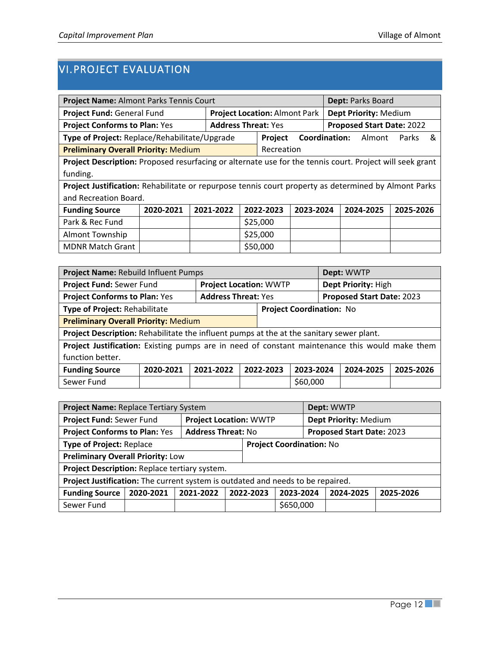#### <span id="page-15-0"></span>VI.PROJECT EVALUATION

| Project Name: Almont Parks Tennis Court                                                                  |           |                            |  |                                      |                      |  | Dept: Parks Board                |           |   |
|----------------------------------------------------------------------------------------------------------|-----------|----------------------------|--|--------------------------------------|----------------------|--|----------------------------------|-----------|---|
| Project Fund: General Fund                                                                               |           |                            |  | <b>Project Location: Almont Park</b> |                      |  | Dept Priority: Medium            |           |   |
| <b>Project Conforms to Plan: Yes</b>                                                                     |           | <b>Address Threat: Yes</b> |  |                                      |                      |  | <b>Proposed Start Date: 2022</b> |           |   |
| Type of Project: Replace/Rehabilitate/Upgrade                                                            |           |                            |  | Project                              | <b>Coordination:</b> |  | Almont                           | Parks     | & |
| <b>Preliminary Overall Priority: Medium</b>                                                              |           |                            |  | Recreation                           |                      |  |                                  |           |   |
| Project Description: Proposed resurfacing or alternate use for the tennis court. Project will seek grant |           |                            |  |                                      |                      |  |                                  |           |   |
| funding.                                                                                                 |           |                            |  |                                      |                      |  |                                  |           |   |
| Project Justification: Rehabilitate or repurpose tennis court property as determined by Almont Parks     |           |                            |  |                                      |                      |  |                                  |           |   |
| and Recreation Board.                                                                                    |           |                            |  |                                      |                      |  |                                  |           |   |
| <b>Funding Source</b>                                                                                    | 2020-2021 | 2021-2022                  |  | 2022-2023                            | 2023-2024            |  | 2024-2025                        | 2025-2026 |   |
| Park & Rec Fund                                                                                          |           |                            |  | \$25,000                             |                      |  |                                  |           |   |
| <b>Almont Township</b>                                                                                   |           |                            |  | \$25,000                             |                      |  |                                  |           |   |
| <b>MDNR Match Grant</b>                                                                                  |           |                            |  | \$50,000                             |                      |  |                                  |           |   |

| Project Name: Rebuild Influent Pumps                                                           |           |                               |           |                                 | Dept: WWTP                |           |
|------------------------------------------------------------------------------------------------|-----------|-------------------------------|-----------|---------------------------------|---------------------------|-----------|
| Project Fund: Sewer Fund                                                                       |           | <b>Project Location: WWTP</b> |           |                                 | Dept Priority: High       |           |
| <b>Project Conforms to Plan: Yes</b>                                                           |           | <b>Address Threat: Yes</b>    |           |                                 | Proposed Start Date: 2023 |           |
| Type of Project: Rehabilitate                                                                  |           |                               |           | <b>Project Coordination: No</b> |                           |           |
| <b>Preliminary Overall Priority: Medium</b>                                                    |           |                               |           |                                 |                           |           |
| Project Description: Rehabilitate the influent pumps at the at the sanitary sewer plant.       |           |                               |           |                                 |                           |           |
| Project Justification: Existing pumps are in need of constant maintenance this would make them |           |                               |           |                                 |                           |           |
| function better.                                                                               |           |                               |           |                                 |                           |           |
| <b>Funding Source</b>                                                                          | 2020-2021 | 2021-2022                     | 2022-2023 | 2023-2024                       | 2024-2025                 | 2025-2026 |
| Sewer Fund                                                                                     |           |                               |           | \$60,000                        |                           |           |

| Project Name: Replace Tertiary System                                           |           |                               |           |                                 | Dept: WWTP                       |           |
|---------------------------------------------------------------------------------|-----------|-------------------------------|-----------|---------------------------------|----------------------------------|-----------|
| Project Fund: Sewer Fund                                                        |           | <b>Project Location: WWTP</b> |           |                                 | Dept Priority: Medium            |           |
| <b>Project Conforms to Plan: Yes</b>                                            |           | <b>Address Threat: No</b>     |           |                                 | <b>Proposed Start Date: 2023</b> |           |
| <b>Type of Project: Replace</b>                                                 |           |                               |           | <b>Project Coordination: No</b> |                                  |           |
| <b>Preliminary Overall Priority: Low</b>                                        |           |                               |           |                                 |                                  |           |
| Project Description: Replace tertiary system.                                   |           |                               |           |                                 |                                  |           |
| Project Justification: The current system is outdated and needs to be repaired. |           |                               |           |                                 |                                  |           |
| <b>Funding Source</b>                                                           | 2020-2021 | 2021-2022                     | 2022-2023 | 2023-2024                       | 2024-2025                        | 2025-2026 |
| Sewer Fund                                                                      |           |                               |           | \$650,000                       |                                  |           |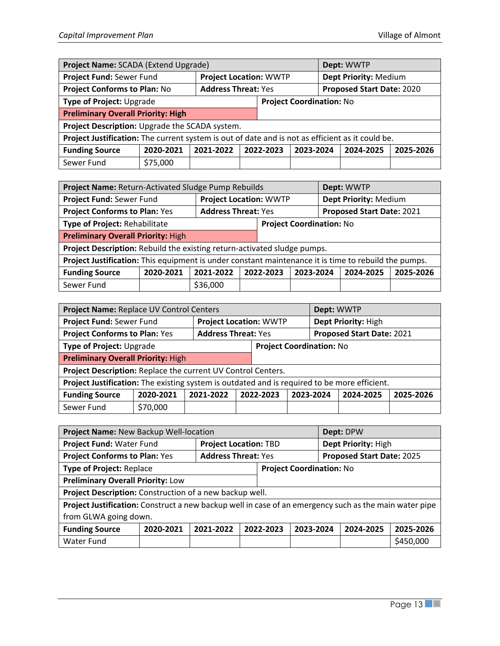| Project Name: SCADA (Extend Upgrade)                                                             |           |                               |           |                                 | Dept: WWTP                |           |
|--------------------------------------------------------------------------------------------------|-----------|-------------------------------|-----------|---------------------------------|---------------------------|-----------|
| Project Fund: Sewer Fund                                                                         |           | <b>Project Location: WWTP</b> |           |                                 | Dept Priority: Medium     |           |
| <b>Project Conforms to Plan: No</b>                                                              |           | <b>Address Threat: Yes</b>    |           |                                 | Proposed Start Date: 2020 |           |
| Type of Project: Upgrade                                                                         |           |                               |           | <b>Project Coordination: No</b> |                           |           |
| <b>Preliminary Overall Priority: High</b>                                                        |           |                               |           |                                 |                           |           |
| Project Description: Upgrade the SCADA system.                                                   |           |                               |           |                                 |                           |           |
| Project Justification: The current system is out of date and is not as efficient as it could be. |           |                               |           |                                 |                           |           |
| <b>Funding Source</b>                                                                            | 2020-2021 | 2021-2022                     | 2022-2023 | 2023-2024                       | 2024-2025                 | 2025-2026 |
| Sewer Fund                                                                                       | \$75,000  |                               |           |                                 |                           |           |

| Project Name: Return-Activated Sludge Pump Rebuilds                                                  |           |                               |                                 |           | Dept: WWTP                       |           |
|------------------------------------------------------------------------------------------------------|-----------|-------------------------------|---------------------------------|-----------|----------------------------------|-----------|
| Project Fund: Sewer Fund                                                                             |           | <b>Project Location: WWTP</b> |                                 |           | Dept Priority: Medium            |           |
| <b>Project Conforms to Plan: Yes</b>                                                                 |           | <b>Address Threat: Yes</b>    |                                 |           | <b>Proposed Start Date: 2021</b> |           |
| Type of Project: Rehabilitate                                                                        |           |                               | <b>Project Coordination: No</b> |           |                                  |           |
| <b>Preliminary Overall Priority: High</b>                                                            |           |                               |                                 |           |                                  |           |
| Project Description: Rebuild the existing return-activated sludge pumps.                             |           |                               |                                 |           |                                  |           |
| Project Justification: This equipment is under constant maintenance it is time to rebuild the pumps. |           |                               |                                 |           |                                  |           |
| <b>Funding Source</b>                                                                                | 2020-2021 | 2021-2022                     | 2022-2023                       | 2023-2024 | 2024-2025                        | 2025-2026 |
| Sewer Fund                                                                                           |           | \$36,000                      |                                 |           |                                  |           |

| Project Name: Replace UV Control Centers                                                     |           |                            |                               | Dept: WWTP                      |                           |           |
|----------------------------------------------------------------------------------------------|-----------|----------------------------|-------------------------------|---------------------------------|---------------------------|-----------|
| Project Fund: Sewer Fund                                                                     |           |                            | <b>Project Location: WWTP</b> |                                 | Dept Priority: High       |           |
| <b>Project Conforms to Plan: Yes</b>                                                         |           | <b>Address Threat: Yes</b> |                               |                                 | Proposed Start Date: 2021 |           |
| Type of Project: Upgrade                                                                     |           |                            |                               | <b>Project Coordination: No</b> |                           |           |
| <b>Preliminary Overall Priority: High</b>                                                    |           |                            |                               |                                 |                           |           |
| Project Description: Replace the current UV Control Centers.                                 |           |                            |                               |                                 |                           |           |
| Project Justification: The existing system is outdated and is required to be more efficient. |           |                            |                               |                                 |                           |           |
| <b>Funding Source</b>                                                                        | 2020-2021 | 2021-2022                  | 2022-2023                     | 2023-2024                       | 2024-2025                 | 2025-2026 |
| Sewer Fund                                                                                   | \$70,000  |                            |                               |                                 |                           |           |

| Project Name: New Backup Well-location                                                                 |           |                              |           |                                 | Dept: DPW                 |           |
|--------------------------------------------------------------------------------------------------------|-----------|------------------------------|-----------|---------------------------------|---------------------------|-----------|
| Project Fund: Water Fund                                                                               |           | <b>Project Location: TBD</b> |           |                                 | Dept Priority: High       |           |
| <b>Project Conforms to Plan: Yes</b>                                                                   |           | <b>Address Threat: Yes</b>   |           |                                 | Proposed Start Date: 2025 |           |
| <b>Type of Project: Replace</b>                                                                        |           |                              |           | <b>Project Coordination: No</b> |                           |           |
| <b>Preliminary Overall Priority: Low</b>                                                               |           |                              |           |                                 |                           |           |
| Project Description: Construction of a new backup well.                                                |           |                              |           |                                 |                           |           |
| Project Justification: Construct a new backup well in case of an emergency such as the main water pipe |           |                              |           |                                 |                           |           |
| from GLWA going down.                                                                                  |           |                              |           |                                 |                           |           |
| <b>Funding Source</b>                                                                                  | 2020-2021 | 2021-2022                    | 2022-2023 | 2023-2024                       | 2024-2025                 | 2025-2026 |
| Water Fund                                                                                             |           |                              |           |                                 |                           | \$450,000 |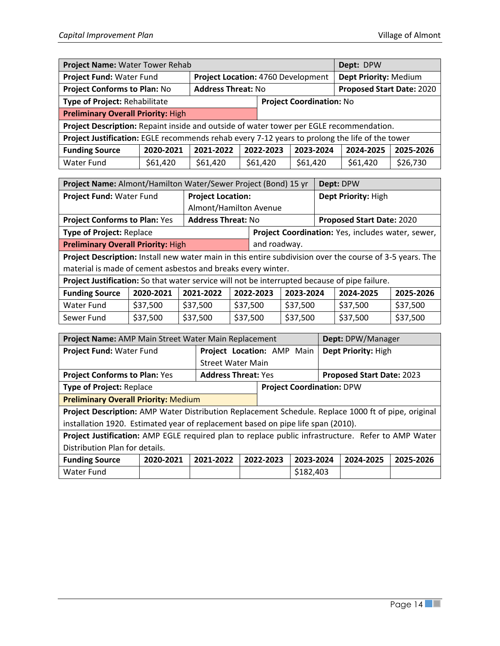| Project Name: Water Tower Rehab                                                                |           |                                    |           |                                 | Dept: DPW                 |           |
|------------------------------------------------------------------------------------------------|-----------|------------------------------------|-----------|---------------------------------|---------------------------|-----------|
| Project Fund: Water Fund                                                                       |           | Project Location: 4760 Development |           |                                 | Dept Priority: Medium     |           |
| <b>Project Conforms to Plan: No</b>                                                            |           | <b>Address Threat: No</b>          |           |                                 | Proposed Start Date: 2020 |           |
| Type of Project: Rehabilitate                                                                  |           |                                    |           | <b>Project Coordination: No</b> |                           |           |
| <b>Preliminary Overall Priority: High</b>                                                      |           |                                    |           |                                 |                           |           |
| Project Description: Repaint inside and outside of water tower per EGLE recommendation.        |           |                                    |           |                                 |                           |           |
| Project Justification: EGLE recommends rehab every 7-12 years to prolong the life of the tower |           |                                    |           |                                 |                           |           |
| <b>Funding Source</b>                                                                          | 2020-2021 | 2021-2022                          | 2022-2023 | 2023-2024                       | 2024-2025                 | 2025-2026 |
| Water Fund                                                                                     | \$61,420  | \$61,420                           | \$61,420  | \$61,420                        | \$61,420                  | \$26,730  |

| Project Name: Almont/Hamilton Water/Sewer Project (Bond) 15 yr |                           |                                                   | Dept: DPW                                                                                                |  |
|----------------------------------------------------------------|---------------------------|---------------------------------------------------|----------------------------------------------------------------------------------------------------------|--|
| Project Fund: Water Fund                                       | <b>Project Location:</b>  |                                                   | Dept Priority: High                                                                                      |  |
|                                                                | Almont/Hamilton Avenue    |                                                   |                                                                                                          |  |
| <b>Project Conforms to Plan: Yes</b>                           | <b>Address Threat: No</b> |                                                   | Proposed Start Date: 2020                                                                                |  |
| <b>Type of Project: Replace</b>                                |                           | Project Coordination: Yes, includes water, sewer, |                                                                                                          |  |
| <b>Preliminary Overall Priority: High</b>                      |                           | and roadway.                                      |                                                                                                          |  |
|                                                                |                           |                                                   | Project Description: Install new water main in this entire subdivision over the course of 3-5 years. The |  |
| material is made of cement asbestos and breaks every winter.   |                           |                                                   |                                                                                                          |  |

**Project Justification:** So that water service will not be interrupted because of pipe failure.

| <b>Funding Source</b> | 2020-2021 | 2021-2022 | 2022-2023 | 2023-2024 | 2024-2025 | 2025-2026 |
|-----------------------|-----------|-----------|-----------|-----------|-----------|-----------|
| Water Fund            | \$37,500  | \$37,500  | \$37,500  | \$37.500  | \$37,500  | \$37,500  |
| Sewer Fund            | \$37,500  | \$37,500  | \$37,500  | \$37.500  | \$37,500  | \$37,500  |

| Project Name: AMP Main Street Water Main Replacement                                                |           |                            |  |                                  |           |  | Dept: DPW/Manager         |           |
|-----------------------------------------------------------------------------------------------------|-----------|----------------------------|--|----------------------------------|-----------|--|---------------------------|-----------|
| Project Fund: Water Fund                                                                            |           | Project Location: AMP Main |  |                                  |           |  | Dept Priority: High       |           |
|                                                                                                     |           | <b>Street Water Main</b>   |  |                                  |           |  |                           |           |
| <b>Project Conforms to Plan: Yes</b>                                                                |           | <b>Address Threat: Yes</b> |  |                                  |           |  | Proposed Start Date: 2023 |           |
| <b>Type of Project: Replace</b>                                                                     |           |                            |  | <b>Project Coordination: DPW</b> |           |  |                           |           |
| <b>Preliminary Overall Priority: Medium</b>                                                         |           |                            |  |                                  |           |  |                           |           |
| Project Description: AMP Water Distribution Replacement Schedule. Replace 1000 ft of pipe, original |           |                            |  |                                  |           |  |                           |           |
| installation 1920. Estimated year of replacement based on pipe life span (2010).                    |           |                            |  |                                  |           |  |                           |           |
| Project Justification: AMP EGLE required plan to replace public infrastructure. Refer to AMP Water  |           |                            |  |                                  |           |  |                           |           |
| Distribution Plan for details.                                                                      |           |                            |  |                                  |           |  |                           |           |
| <b>Funding Source</b>                                                                               | 2020-2021 | 2021-2022                  |  | 2022-2023                        | 2023-2024 |  | 2024-2025                 | 2025-2026 |
| Water Fund                                                                                          |           |                            |  |                                  | \$182,403 |  |                           |           |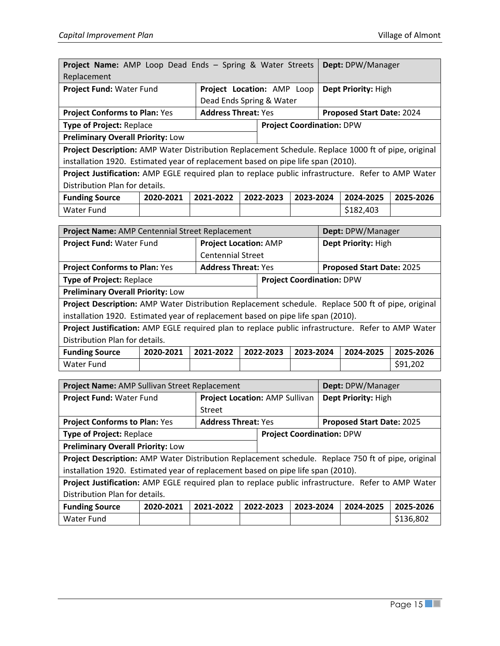|                                                                                                                                                                                        |           |                                                 |  |                                  |           |  | Dept: DPW/Manager                |           |
|----------------------------------------------------------------------------------------------------------------------------------------------------------------------------------------|-----------|-------------------------------------------------|--|----------------------------------|-----------|--|----------------------------------|-----------|
| Project Name: AMP Loop Dead Ends - Spring & Water Streets<br>Replacement                                                                                                               |           |                                                 |  |                                  |           |  |                                  |           |
| Project Fund: Water Fund                                                                                                                                                               |           | Project Location: AMP Loop                      |  |                                  |           |  | Dept Priority: High              |           |
|                                                                                                                                                                                        |           | Dead Ends Spring & Water                        |  |                                  |           |  |                                  |           |
| <b>Project Conforms to Plan: Yes</b>                                                                                                                                                   |           | <b>Address Threat: Yes</b>                      |  |                                  |           |  | Proposed Start Date: 2024        |           |
| Type of Project: Replace                                                                                                                                                               |           |                                                 |  | <b>Project Coordination: DPW</b> |           |  |                                  |           |
| <b>Preliminary Overall Priority: Low</b>                                                                                                                                               |           |                                                 |  |                                  |           |  |                                  |           |
| Project Description: AMP Water Distribution Replacement Schedule. Replace 1000 ft of pipe, original                                                                                    |           |                                                 |  |                                  |           |  |                                  |           |
| installation 1920. Estimated year of replacement based on pipe life span (2010).                                                                                                       |           |                                                 |  |                                  |           |  |                                  |           |
| Project Justification: AMP EGLE required plan to replace public infrastructure. Refer to AMP Water                                                                                     |           |                                                 |  |                                  |           |  |                                  |           |
| Distribution Plan for details.                                                                                                                                                         |           |                                                 |  |                                  |           |  |                                  |           |
| <b>Funding Source</b>                                                                                                                                                                  | 2020-2021 | 2021-2022                                       |  | 2022-2023                        | 2023-2024 |  | 2024-2025                        | 2025-2026 |
| <b>Water Fund</b>                                                                                                                                                                      |           |                                                 |  |                                  |           |  | \$182,403                        |           |
|                                                                                                                                                                                        |           |                                                 |  |                                  |           |  |                                  |           |
| Project Name: AMP Centennial Street Replacement<br>Dept: DPW/Manager                                                                                                                   |           |                                                 |  |                                  |           |  |                                  |           |
| Project Fund: Water Fund                                                                                                                                                               |           | <b>Project Location: AMP</b>                    |  |                                  |           |  | Dept Priority: High              |           |
| <b>Centennial Street</b>                                                                                                                                                               |           |                                                 |  |                                  |           |  |                                  |           |
| <b>Project Conforms to Plan: Yes</b><br><b>Address Threat: Yes</b><br>Proposed Start Date: 2025                                                                                        |           |                                                 |  |                                  |           |  |                                  |           |
| Type of Project: Replace                                                                                                                                                               |           |                                                 |  | <b>Project Coordination: DPW</b> |           |  |                                  |           |
| <b>Preliminary Overall Priority: Low</b>                                                                                                                                               |           |                                                 |  |                                  |           |  |                                  |           |
| Project Description: AMP Water Distribution Replacement schedule. Replace 500 ft of pipe, original                                                                                     |           |                                                 |  |                                  |           |  |                                  |           |
| installation 1920. Estimated year of replacement based on pipe life span (2010).                                                                                                       |           |                                                 |  |                                  |           |  |                                  |           |
| Project Justification: AMP EGLE required plan to replace public infrastructure. Refer to AMP Water                                                                                     |           |                                                 |  |                                  |           |  |                                  |           |
| Distribution Plan for details.                                                                                                                                                         |           |                                                 |  |                                  |           |  |                                  |           |
| <b>Funding Source</b>                                                                                                                                                                  | 2020-2021 | 2021-2022                                       |  | 2022-2023                        | 2023-2024 |  | 2024-2025                        | 2025-2026 |
| <b>Water Fund</b>                                                                                                                                                                      |           |                                                 |  |                                  |           |  |                                  | \$91,202  |
|                                                                                                                                                                                        |           |                                                 |  |                                  |           |  |                                  |           |
| Project Name: AMP Sullivan Street Replacement                                                                                                                                          |           |                                                 |  |                                  |           |  | Dept: DPW/Manager                |           |
| Project Fund: Water Fund                                                                                                                                                               |           | Project Location: AMP Sullivan<br><b>Street</b> |  |                                  |           |  | Dept Priority: High              |           |
|                                                                                                                                                                                        |           |                                                 |  |                                  |           |  |                                  |           |
| <b>Project Conforms to Plan: Yes</b>                                                                                                                                                   |           | <b>Address Threat: Yes</b>                      |  |                                  |           |  | <b>Proposed Start Date: 2025</b> |           |
| <b>Type of Project: Replace</b>                                                                                                                                                        |           |                                                 |  | <b>Project Coordination: DPW</b> |           |  |                                  |           |
| <b>Preliminary Overall Priority: Low</b>                                                                                                                                               |           |                                                 |  |                                  |           |  |                                  |           |
| Project Description: AMP Water Distribution Replacement schedule. Replace 750 ft of pipe, original<br>installation 1920. Estimated year of replacement based on pipe life span (2010). |           |                                                 |  |                                  |           |  |                                  |           |
| Project Justification: AMP EGLE required plan to replace public infrastructure. Refer to AMP Water                                                                                     |           |                                                 |  |                                  |           |  |                                  |           |
|                                                                                                                                                                                        |           |                                                 |  |                                  |           |  |                                  |           |

| <b>Funding Source</b> | 2020-2021 2021-2022 2022-2023 2023-2024 2024-2025 2025-2026 |  |           |
|-----------------------|-------------------------------------------------------------|--|-----------|
| Water Fund            |                                                             |  | \$136,802 |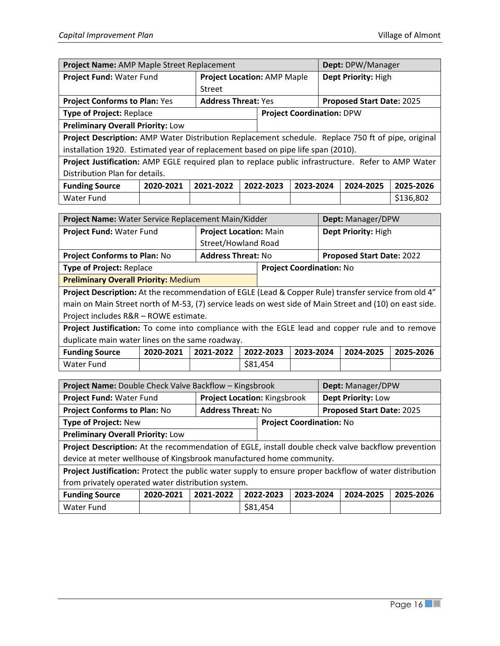| Project Name: AMP Maple Street Replacement                                                         |           |                                    |                            |           |           | Dept: DPW/Manager   |                           |           |  |
|----------------------------------------------------------------------------------------------------|-----------|------------------------------------|----------------------------|-----------|-----------|---------------------|---------------------------|-----------|--|
| Project Fund: Water Fund                                                                           |           | <b>Project Location: AMP Maple</b> |                            |           |           | Dept Priority: High |                           |           |  |
|                                                                                                    |           | Street                             |                            |           |           |                     |                           |           |  |
| <b>Project Conforms to Plan: Yes</b>                                                               |           |                                    | <b>Address Threat: Yes</b> |           |           |                     | Proposed Start Date: 2025 |           |  |
| <b>Project Coordination: DPW</b><br><b>Type of Project: Replace</b>                                |           |                                    |                            |           |           |                     |                           |           |  |
| <b>Preliminary Overall Priority: Low</b>                                                           |           |                                    |                            |           |           |                     |                           |           |  |
| Project Description: AMP Water Distribution Replacement schedule. Replace 750 ft of pipe, original |           |                                    |                            |           |           |                     |                           |           |  |
| installation 1920. Estimated year of replacement based on pipe life span (2010).                   |           |                                    |                            |           |           |                     |                           |           |  |
| Project Justification: AMP EGLE required plan to replace public infrastructure. Refer to AMP Water |           |                                    |                            |           |           |                     |                           |           |  |
| Distribution Plan for details.                                                                     |           |                                    |                            |           |           |                     |                           |           |  |
| <b>Funding Source</b>                                                                              | 2020-2021 | 2021-2022                          |                            | 2022-2023 | 2023-2024 |                     | 2024-2025                 | 2025-2026 |  |
| Water Fund                                                                                         |           |                                    |                            |           |           |                     |                           | \$136,802 |  |

| Project Name: Water Service Replacement Main/Kidder                                                  |                               |                                 | Dept: Manager/DPW                |  |  |  |  |  |  |
|------------------------------------------------------------------------------------------------------|-------------------------------|---------------------------------|----------------------------------|--|--|--|--|--|--|
| Project Fund: Water Fund                                                                             | <b>Project Location: Main</b> |                                 | Dept Priority: High              |  |  |  |  |  |  |
|                                                                                                      | Street/Howland Road           |                                 |                                  |  |  |  |  |  |  |
| <b>Project Conforms to Plan: No</b>                                                                  | <b>Address Threat: No</b>     |                                 | <b>Proposed Start Date: 2022</b> |  |  |  |  |  |  |
| <b>Type of Project: Replace</b>                                                                      |                               | <b>Project Coordination: No</b> |                                  |  |  |  |  |  |  |
| <b>Preliminary Overall Priority: Medium</b>                                                          |                               |                                 |                                  |  |  |  |  |  |  |
| Project Description: At the recommendation of EGLE (Lead & Copper Rule) transfer service from old 4" |                               |                                 |                                  |  |  |  |  |  |  |

main on Main Street north of M-53, (7) service leads on west side of Main Street and (10) on east side. Project includes R&R – ROWE estimate.

**Project Justification:** To come into compliance with the EGLE lead and copper rule and to remove duplicate main water lines on the same roadway.

| Funding Source |  | 2020-2021 2021-2022 2022-2023 2023-2024 2024-2025 2025-2026 |  |  |
|----------------|--|-------------------------------------------------------------|--|--|
| l Water Fund   |  | \$81.454                                                    |  |  |

| <b>Project Name: Double Check Valve Backflow - Kingsbrook</b>                                          |           |                           |                              |                                 |  | Dept: Manager/DPW         |           |  |
|--------------------------------------------------------------------------------------------------------|-----------|---------------------------|------------------------------|---------------------------------|--|---------------------------|-----------|--|
| Project Fund: Water Fund                                                                               |           |                           | Project Location: Kingsbrook |                                 |  | Dept Priority: Low        |           |  |
| <b>Project Conforms to Plan: No</b>                                                                    |           | <b>Address Threat: No</b> |                              |                                 |  | Proposed Start Date: 2025 |           |  |
| <b>Type of Project: New</b>                                                                            |           |                           |                              | <b>Project Coordination: No</b> |  |                           |           |  |
| <b>Preliminary Overall Priority: Low</b>                                                               |           |                           |                              |                                 |  |                           |           |  |
| Project Description: At the recommendation of EGLE, install double check valve backflow prevention     |           |                           |                              |                                 |  |                           |           |  |
| device at meter wellhouse of Kingsbrook manufactured home community.                                   |           |                           |                              |                                 |  |                           |           |  |
| Project Justification: Protect the public water supply to ensure proper backflow of water distribution |           |                           |                              |                                 |  |                           |           |  |
| from privately operated water distribution system.                                                     |           |                           |                              |                                 |  |                           |           |  |
| <b>Funding Source</b>                                                                                  | 2020-2021 | 2021-2022                 | 2022-2023                    | 2023-2024                       |  | 2024-2025                 | 2025-2026 |  |
| Water Fund                                                                                             |           |                           | \$81,454                     |                                 |  |                           |           |  |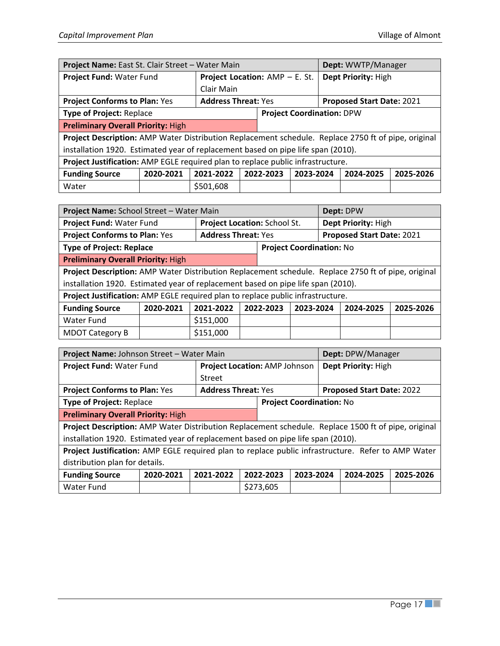| Project Name: East St. Clair Street - Water Main                                                    |           |                                                         |  |                                  |           |                     | Dept: WWTP/Manager |           |
|-----------------------------------------------------------------------------------------------------|-----------|---------------------------------------------------------|--|----------------------------------|-----------|---------------------|--------------------|-----------|
| Project Fund: Water Fund<br><b>Project Location: AMP - E. St.</b>                                   |           |                                                         |  |                                  |           | Dept Priority: High |                    |           |
|                                                                                                     |           | Clair Main                                              |  |                                  |           |                     |                    |           |
| <b>Project Conforms to Plan: Yes</b>                                                                |           | <b>Address Threat: Yes</b><br>Proposed Start Date: 2021 |  |                                  |           |                     |                    |           |
| <b>Type of Project: Replace</b>                                                                     |           |                                                         |  | <b>Project Coordination: DPW</b> |           |                     |                    |           |
| <b>Preliminary Overall Priority: High</b>                                                           |           |                                                         |  |                                  |           |                     |                    |           |
| Project Description: AMP Water Distribution Replacement schedule. Replace 2750 ft of pipe, original |           |                                                         |  |                                  |           |                     |                    |           |
| installation 1920. Estimated year of replacement based on pipe life span (2010).                    |           |                                                         |  |                                  |           |                     |                    |           |
| Project Justification: AMP EGLE required plan to replace public infrastructure.                     |           |                                                         |  |                                  |           |                     |                    |           |
| <b>Funding Source</b>                                                                               | 2020-2021 | 2021-2022                                               |  | 2022-2023                        | 2023-2024 |                     | 2024-2025          | 2025-2026 |
| Water                                                                                               |           | \$501,608                                               |  |                                  |           |                     |                    |           |

| Project Name: School Street - Water Main                                                            |           |                              |  |                                 |           |                           | Dept: DPW |           |
|-----------------------------------------------------------------------------------------------------|-----------|------------------------------|--|---------------------------------|-----------|---------------------------|-----------|-----------|
| Project Fund: Water Fund                                                                            |           | Project Location: School St. |  |                                 |           | Dept Priority: High       |           |           |
| <b>Project Conforms to Plan: Yes</b>                                                                |           | <b>Address Threat: Yes</b>   |  |                                 |           | Proposed Start Date: 2021 |           |           |
| <b>Type of Project: Replace</b>                                                                     |           |                              |  | <b>Project Coordination: No</b> |           |                           |           |           |
| <b>Preliminary Overall Priority: High</b>                                                           |           |                              |  |                                 |           |                           |           |           |
| Project Description: AMP Water Distribution Replacement schedule. Replace 2750 ft of pipe, original |           |                              |  |                                 |           |                           |           |           |
| installation 1920. Estimated year of replacement based on pipe life span (2010).                    |           |                              |  |                                 |           |                           |           |           |
| Project Justification: AMP EGLE required plan to replace public infrastructure.                     |           |                              |  |                                 |           |                           |           |           |
| <b>Funding Source</b>                                                                               | 2020-2021 | 2021-2022                    |  | 2022-2023                       | 2023-2024 |                           | 2024-2025 | 2025-2026 |
| Water Fund                                                                                          |           | \$151,000                    |  |                                 |           |                           |           |           |
| <b>MDOT Category B</b>                                                                              |           | \$151,000                    |  |                                 |           |                           |           |           |

| Project Name: Johnson Street - Water Main                                                           |           |                               |           |  |                                 | Dept: DPW/Manager         |           |  |
|-----------------------------------------------------------------------------------------------------|-----------|-------------------------------|-----------|--|---------------------------------|---------------------------|-----------|--|
| Project Fund: Water Fund                                                                            |           | Project Location: AMP Johnson |           |  |                                 | Dept Priority: High       |           |  |
|                                                                                                     |           | Street                        |           |  |                                 |                           |           |  |
| <b>Project Conforms to Plan: Yes</b><br><b>Address Threat: Yes</b>                                  |           |                               |           |  |                                 | Proposed Start Date: 2022 |           |  |
| <b>Type of Project: Replace</b>                                                                     |           |                               |           |  | <b>Project Coordination: No</b> |                           |           |  |
| <b>Preliminary Overall Priority: High</b>                                                           |           |                               |           |  |                                 |                           |           |  |
| Project Description: AMP Water Distribution Replacement schedule. Replace 1500 ft of pipe, original |           |                               |           |  |                                 |                           |           |  |
| installation 1920. Estimated year of replacement based on pipe life span (2010).                    |           |                               |           |  |                                 |                           |           |  |
| Project Justification: AMP EGLE required plan to replace public infrastructure. Refer to AMP Water  |           |                               |           |  |                                 |                           |           |  |
| distribution plan for details.                                                                      |           |                               |           |  |                                 |                           |           |  |
| <b>Funding Source</b>                                                                               | 2020-2021 | 2021-2022                     | 2022-2023 |  | 2023-2024                       | 2024-2025                 | 2025-2026 |  |
| Water Fund                                                                                          |           |                               | \$273,605 |  |                                 |                           |           |  |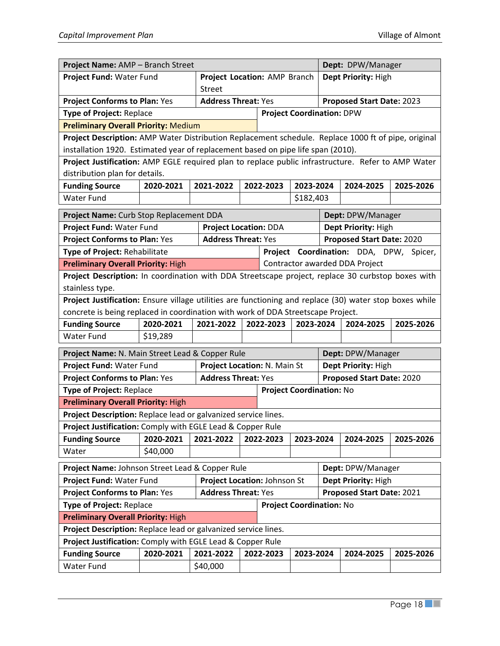| Project Name: AMP - Branch Street                                                                       |                                |                              |                                |                                 |           |                                  | Dept: DPW/Manager                       |           |  |
|---------------------------------------------------------------------------------------------------------|--------------------------------|------------------------------|--------------------------------|---------------------------------|-----------|----------------------------------|-----------------------------------------|-----------|--|
| Project Fund: Water Fund                                                                                |                                |                              | Project Location: AMP Branch   |                                 |           |                                  | Dept Priority: High                     |           |  |
|                                                                                                         |                                | <b>Street</b>                |                                |                                 |           |                                  |                                         |           |  |
| <b>Project Conforms to Plan: Yes</b>                                                                    |                                | <b>Address Threat: Yes</b>   |                                |                                 |           |                                  | Proposed Start Date: 2023               |           |  |
| Type of Project: Replace                                                                                |                                |                              |                                |                                 |           | <b>Project Coordination: DPW</b> |                                         |           |  |
| <b>Preliminary Overall Priority: Medium</b>                                                             |                                |                              |                                |                                 |           |                                  |                                         |           |  |
| Project Description: AMP Water Distribution Replacement schedule. Replace 1000 ft of pipe, original     |                                |                              |                                |                                 |           |                                  |                                         |           |  |
| installation 1920. Estimated year of replacement based on pipe life span (2010).                        |                                |                              |                                |                                 |           |                                  |                                         |           |  |
| Project Justification: AMP EGLE required plan to replace public infrastructure. Refer to AMP Water      |                                |                              |                                |                                 |           |                                  |                                         |           |  |
|                                                                                                         | distribution plan for details. |                              |                                |                                 |           |                                  |                                         |           |  |
| <b>Funding Source</b>                                                                                   | 2020-2021                      | 2021-2022                    |                                | 2022-2023                       | 2023-2024 |                                  | 2024-2025                               | 2025-2026 |  |
| <b>Water Fund</b>                                                                                       |                                |                              |                                |                                 | \$182,403 |                                  |                                         |           |  |
| Project Name: Curb Stop Replacement DDA                                                                 |                                |                              |                                |                                 |           |                                  | Dept: DPW/Manager                       |           |  |
| Project Fund: Water Fund                                                                                |                                | <b>Project Location: DDA</b> |                                |                                 |           |                                  | Dept Priority: High                     |           |  |
| <b>Project Conforms to Plan: Yes</b>                                                                    |                                | <b>Address Threat: Yes</b>   |                                |                                 |           |                                  | Proposed Start Date: 2020               |           |  |
| Type of Project: Rehabilitate                                                                           |                                |                              |                                |                                 |           |                                  | Project Coordination: DDA, DPW, Spicer, |           |  |
| <b>Preliminary Overall Priority: High</b>                                                               |                                |                              | Contractor awarded DDA Project |                                 |           |                                  |                                         |           |  |
| Project Description: In coordination with DDA Streetscape project, replace 30 curbstop boxes with       |                                |                              |                                |                                 |           |                                  |                                         |           |  |
| stainless type.                                                                                         |                                |                              |                                |                                 |           |                                  |                                         |           |  |
| Project Justification: Ensure village utilities are functioning and replace (30) water stop boxes while |                                |                              |                                |                                 |           |                                  |                                         |           |  |
| concrete is being replaced in coordination with work of DDA Streetscape Project.                        |                                |                              |                                |                                 |           |                                  |                                         |           |  |
| <b>Funding Source</b>                                                                                   | 2020-2021                      | 2021-2022                    |                                | 2022-2023                       | 2023-2024 |                                  | 2024-2025                               | 2025-2026 |  |
| <b>Water Fund</b>                                                                                       | \$19,289                       |                              |                                |                                 |           |                                  |                                         |           |  |
| Project Name: N. Main Street Lead & Copper Rule                                                         |                                |                              |                                |                                 |           |                                  | Dept: DPW/Manager                       |           |  |
| Project Fund: Water Fund                                                                                |                                | Project Location: N. Main St |                                |                                 |           |                                  | Dept Priority: High                     |           |  |
| <b>Project Conforms to Plan: Yes</b>                                                                    |                                | <b>Address Threat: Yes</b>   |                                |                                 |           |                                  | Proposed Start Date: 2020               |           |  |
| Type of Project: Replace                                                                                |                                |                              |                                | <b>Project Coordination: No</b> |           |                                  |                                         |           |  |
| <b>Preliminary Overall Priority: High</b>                                                               |                                |                              |                                |                                 |           |                                  |                                         |           |  |
| Project Description: Replace lead or galvanized service lines.                                          |                                |                              |                                |                                 |           |                                  |                                         |           |  |
| Project Justification: Comply with EGLE Lead & Copper Rule                                              |                                |                              |                                |                                 |           |                                  |                                         |           |  |
| <b>Funding Source</b>                                                                                   | 2020-2021                      | 2021-2022                    |                                | 2022-2023                       | 2023-2024 |                                  | 2024-2025                               | 2025-2026 |  |
| Water                                                                                                   | \$40,000                       |                              |                                |                                 |           |                                  |                                         |           |  |
| Project Name: Johnson Street Lead & Copper Rule                                                         |                                |                              |                                |                                 |           |                                  | Dept: DPW/Manager                       |           |  |
| Project Fund: Water Fund                                                                                |                                | Project Location: Johnson St |                                |                                 |           |                                  | Dept Priority: High                     |           |  |
| <b>Project Conforms to Plan: Yes</b>                                                                    |                                | <b>Address Threat: Yes</b>   |                                |                                 |           |                                  | Proposed Start Date: 2021               |           |  |
| Type of Project: Replace                                                                                |                                |                              |                                | <b>Project Coordination: No</b> |           |                                  |                                         |           |  |
| <b>Preliminary Overall Priority: High</b>                                                               |                                |                              |                                |                                 |           |                                  |                                         |           |  |
| Project Description: Replace lead or galvanized service lines.                                          |                                |                              |                                |                                 |           |                                  |                                         |           |  |
| Project Justification: Comply with EGLE Lead & Copper Rule                                              |                                |                              |                                |                                 |           |                                  |                                         |           |  |
| <b>Funding Source</b>                                                                                   | 2020-2021                      | 2021-2022                    |                                | 2022-2023                       | 2023-2024 |                                  | 2024-2025                               | 2025-2026 |  |
| <b>Water Fund</b>                                                                                       |                                | \$40,000                     |                                |                                 |           |                                  |                                         |           |  |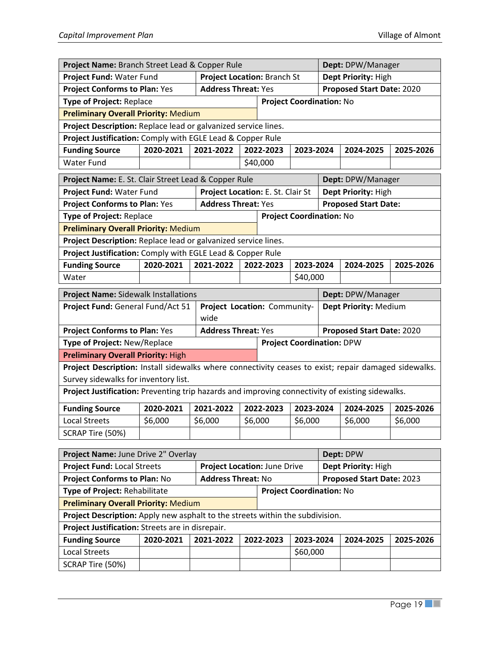| Project Name: Branch Street Lead & Copper Rule                                                       |                                                                    |                                                           |          |                                  |           |                           | Dept: DPW/Manager                |           |  |  |
|------------------------------------------------------------------------------------------------------|--------------------------------------------------------------------|-----------------------------------------------------------|----------|----------------------------------|-----------|---------------------------|----------------------------------|-----------|--|--|
| Project Fund: Water Fund                                                                             | <b>Project Location: Branch St</b>                                 |                                                           |          |                                  |           |                           | Dept Priority: High              |           |  |  |
|                                                                                                      | <b>Project Conforms to Plan: Yes</b><br><b>Address Threat: Yes</b> |                                                           |          |                                  |           | Proposed Start Date: 2020 |                                  |           |  |  |
| Type of Project: Replace                                                                             |                                                                    |                                                           |          | <b>Project Coordination: No</b>  |           |                           |                                  |           |  |  |
| <b>Preliminary Overall Priority: Medium</b>                                                          |                                                                    |                                                           |          |                                  |           |                           |                                  |           |  |  |
| Project Description: Replace lead or galvanized service lines.                                       |                                                                    |                                                           |          |                                  |           |                           |                                  |           |  |  |
| Project Justification: Comply with EGLE Lead & Copper Rule                                           |                                                                    |                                                           |          |                                  |           |                           |                                  |           |  |  |
| <b>Funding Source</b>                                                                                | 2020-2021                                                          | 2021-2022                                                 |          | 2022-2023                        | 2023-2024 |                           | 2024-2025                        | 2025-2026 |  |  |
| <b>Water Fund</b>                                                                                    |                                                                    |                                                           |          | \$40,000                         |           |                           |                                  |           |  |  |
| Project Name: E. St. Clair Street Lead & Copper Rule<br>Dept: DPW/Manager                            |                                                                    |                                                           |          |                                  |           |                           |                                  |           |  |  |
| Project Fund: Water Fund                                                                             |                                                                    | Project Location: E. St. Clair St                         |          |                                  |           |                           | Dept Priority: High              |           |  |  |
| <b>Project Conforms to Plan: Yes</b>                                                                 |                                                                    | <b>Address Threat: Yes</b>                                |          |                                  |           |                           | <b>Proposed Start Date:</b>      |           |  |  |
| Type of Project: Replace                                                                             |                                                                    |                                                           |          | <b>Project Coordination: No</b>  |           |                           |                                  |           |  |  |
| <b>Preliminary Overall Priority: Medium</b>                                                          |                                                                    |                                                           |          |                                  |           |                           |                                  |           |  |  |
| Project Description: Replace lead or galvanized service lines.                                       |                                                                    |                                                           |          |                                  |           |                           |                                  |           |  |  |
| Project Justification: Comply with EGLE Lead & Copper Rule                                           |                                                                    |                                                           |          |                                  |           |                           |                                  |           |  |  |
| <b>Funding Source</b>                                                                                | 2020-2021                                                          | 2021-2022                                                 |          | 2022-2023                        | 2023-2024 |                           | 2024-2025                        | 2025-2026 |  |  |
| Water                                                                                                |                                                                    |                                                           | \$40,000 |                                  |           |                           |                                  |           |  |  |
| <b>Project Name: Sidewalk Installations</b>                                                          |                                                                    |                                                           |          |                                  |           |                           | Dept: DPW/Manager                |           |  |  |
| Project Fund: General Fund/Act 51<br>Dept Priority: Medium<br>Project Location: Community-           |                                                                    |                                                           |          |                                  |           |                           |                                  |           |  |  |
|                                                                                                      |                                                                    | wide                                                      |          |                                  |           |                           |                                  |           |  |  |
| <b>Project Conforms to Plan: Yes</b>                                                                 |                                                                    | <b>Address Threat: Yes</b>                                |          |                                  |           |                           | Proposed Start Date: 2020        |           |  |  |
| Type of Project: New/Replace                                                                         |                                                                    |                                                           |          | <b>Project Coordination: DPW</b> |           |                           |                                  |           |  |  |
| <b>Preliminary Overall Priority: High</b>                                                            |                                                                    |                                                           |          |                                  |           |                           |                                  |           |  |  |
| Project Description: Install sidewalks where connectivity ceases to exist; repair damaged sidewalks. |                                                                    |                                                           |          |                                  |           |                           |                                  |           |  |  |
| Survey sidewalks for inventory list.                                                                 |                                                                    |                                                           |          |                                  |           |                           |                                  |           |  |  |
| Project Justification: Preventing trip hazards and improving connectivity of existing sidewalks.     |                                                                    |                                                           |          |                                  |           |                           |                                  |           |  |  |
| <b>Funding Source</b>                                                                                | 2020-2021                                                          | 2021-2022                                                 |          | 2022-2023                        | 2023-2024 |                           | 2024-2025                        | 2025-2026 |  |  |
| <b>Local Streets</b>                                                                                 | \$6,000                                                            | \$6,000                                                   | \$6,000  |                                  | \$6,000   |                           | \$6,000                          | \$6,000   |  |  |
| SCRAP Tire (50%)                                                                                     |                                                                    |                                                           |          |                                  |           |                           |                                  |           |  |  |
|                                                                                                      |                                                                    |                                                           |          |                                  |           |                           |                                  |           |  |  |
| Project Name: June Drive 2" Overlay<br><b>Project Fund: Local Streets</b>                            |                                                                    |                                                           |          |                                  |           |                           | Dept: DPW<br>Dept Priority: High |           |  |  |
| <b>Project Conforms to Plan: No</b>                                                                  |                                                                    | Project Location: June Drive<br><b>Address Threat: No</b> |          |                                  |           |                           | Proposed Start Date: 2023        |           |  |  |
| Type of Project: Rehabilitate                                                                        |                                                                    |                                                           |          | <b>Project Coordination: No</b>  |           |                           |                                  |           |  |  |
| <b>Preliminary Overall Priority: Medium</b>                                                          |                                                                    |                                                           |          |                                  |           |                           |                                  |           |  |  |
| Project Description: Apply new asphalt to the streets within the subdivision.                        |                                                                    |                                                           |          |                                  |           |                           |                                  |           |  |  |
| Project Justification: Streets are in disrepair.                                                     |                                                                    |                                                           |          |                                  |           |                           |                                  |           |  |  |
| <b>Funding Source</b>                                                                                | 2020-2021                                                          | 2021-2022                                                 |          | 2022-2023                        | 2023-2024 |                           | 2024-2025                        | 2025-2026 |  |  |
| <b>Local Streets</b>                                                                                 |                                                                    |                                                           |          |                                  | \$60,000  |                           |                                  |           |  |  |
| SCRAP Tire (50%)                                                                                     |                                                                    |                                                           |          |                                  |           |                           |                                  |           |  |  |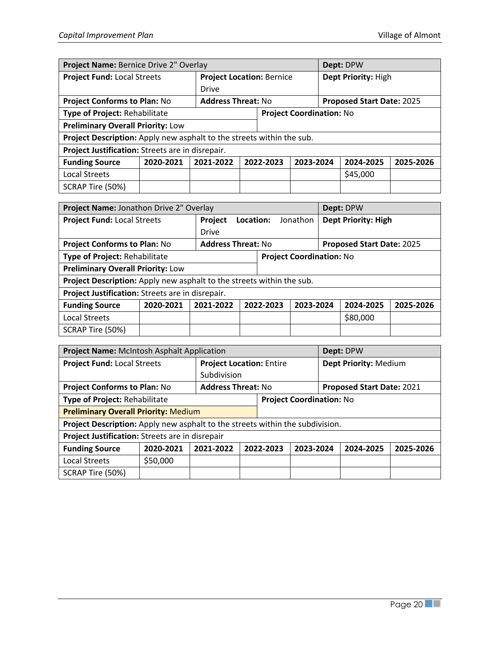| Project Name: Bernice Drive 2" Overlay                                |                                                                  |                                 |                                  |           |                           |                     | Dept: DPW |           |
|-----------------------------------------------------------------------|------------------------------------------------------------------|---------------------------------|----------------------------------|-----------|---------------------------|---------------------|-----------|-----------|
| <b>Project Fund: Local Streets</b>                                    |                                                                  |                                 | <b>Project Location: Bernice</b> |           |                           | Dept Priority: High |           |           |
|                                                                       |                                                                  | <b>Drive</b>                    |                                  |           |                           |                     |           |           |
|                                                                       | <b>Address Threat: No</b><br><b>Project Conforms to Plan: No</b> |                                 |                                  |           | Proposed Start Date: 2025 |                     |           |           |
| Type of Project: Rehabilitate                                         |                                                                  | <b>Project Coordination: No</b> |                                  |           |                           |                     |           |           |
| <b>Preliminary Overall Priority: Low</b>                              |                                                                  |                                 |                                  |           |                           |                     |           |           |
| Project Description: Apply new asphalt to the streets within the sub. |                                                                  |                                 |                                  |           |                           |                     |           |           |
| Project Justification: Streets are in disrepair.                      |                                                                  |                                 |                                  |           |                           |                     |           |           |
| <b>Funding Source</b>                                                 | 2020-2021                                                        | 2021-2022                       |                                  | 2022-2023 | 2023-2024                 |                     | 2024-2025 | 2025-2026 |
| <b>Local Streets</b>                                                  |                                                                  |                                 |                                  |           |                           |                     | \$45,000  |           |
| SCRAP Tire (50%)                                                      |                                                                  |                                 |                                  |           |                           |                     |           |           |

| Project Name: Jonathon Drive 2" Overlay                               |           |                           |           |                                        |  | Dept: DPW                 |           |  |  |
|-----------------------------------------------------------------------|-----------|---------------------------|-----------|----------------------------------------|--|---------------------------|-----------|--|--|
| <b>Project Fund: Local Streets</b>                                    |           | Project                   | Location: | <b>Dept Priority: High</b><br>Jonathon |  |                           |           |  |  |
|                                                                       |           | <b>Drive</b>              |           |                                        |  |                           |           |  |  |
| <b>Project Conforms to Plan: No</b>                                   |           | <b>Address Threat: No</b> |           |                                        |  | Proposed Start Date: 2025 |           |  |  |
| Type of Project: Rehabilitate                                         |           |                           |           | <b>Project Coordination: No</b>        |  |                           |           |  |  |
| <b>Preliminary Overall Priority: Low</b>                              |           |                           |           |                                        |  |                           |           |  |  |
| Project Description: Apply new asphalt to the streets within the sub. |           |                           |           |                                        |  |                           |           |  |  |
| Project Justification: Streets are in disrepair.                      |           |                           |           |                                        |  |                           |           |  |  |
| <b>Funding Source</b>                                                 | 2020-2021 | 2021-2022                 | 2022-2023 | 2023-2024                              |  | 2024-2025                 | 2025-2026 |  |  |
| <b>Local Streets</b>                                                  |           |                           | \$80,000  |                                        |  |                           |           |  |  |
| SCRAP Tire (50%)                                                      |           |                           |           |                                        |  |                           |           |  |  |

| Project Name: McIntosh Asphalt Application                                    |           |                           |                                 |                                     |                           |  | Dept: DPW             |           |
|-------------------------------------------------------------------------------|-----------|---------------------------|---------------------------------|-------------------------------------|---------------------------|--|-----------------------|-----------|
| <b>Project Fund: Local Streets</b>                                            |           |                           | <b>Project Location: Entire</b> |                                     |                           |  | Dept Priority: Medium |           |
|                                                                               |           |                           | Subdivision                     |                                     |                           |  |                       |           |
| <b>Project Conforms to Plan: No</b>                                           |           | <b>Address Threat: No</b> |                                 |                                     | Proposed Start Date: 2021 |  |                       |           |
| Type of Project: Rehabilitate                                                 |           |                           |                                 | <b>Project Coordination: No</b>     |                           |  |                       |           |
| <b>Preliminary Overall Priority: Medium</b>                                   |           |                           |                                 |                                     |                           |  |                       |           |
| Project Description: Apply new asphalt to the streets within the subdivision. |           |                           |                                 |                                     |                           |  |                       |           |
| Project Justification: Streets are in disrepair                               |           |                           |                                 |                                     |                           |  |                       |           |
| <b>Funding Source</b>                                                         | 2020-2021 | 2021-2022                 |                                 | 2023-2024<br>2022-2023<br>2024-2025 |                           |  |                       | 2025-2026 |
| <b>Local Streets</b>                                                          | \$50,000  |                           |                                 |                                     |                           |  |                       |           |
| SCRAP Tire (50%)                                                              |           |                           |                                 |                                     |                           |  |                       |           |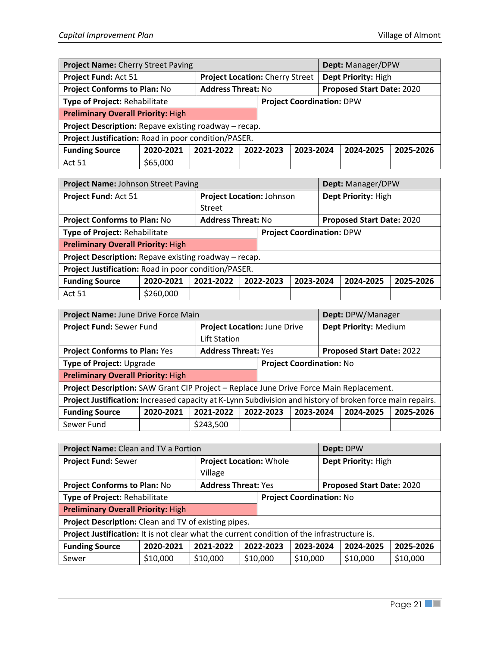| Project Name: Cherry Street Paving                    |           |                           |                                                               |  |  | Dept: Manager/DPW |           |
|-------------------------------------------------------|-----------|---------------------------|---------------------------------------------------------------|--|--|-------------------|-----------|
| Project Fund: Act 51                                  |           |                           | Dept Priority: High<br><b>Project Location: Cherry Street</b> |  |  |                   |           |
| <b>Project Conforms to Plan: No</b>                   |           | <b>Address Threat: No</b> | Proposed Start Date: 2020                                     |  |  |                   |           |
| Type of Project: Rehabilitate                         |           |                           | <b>Project Coordination: DPW</b>                              |  |  |                   |           |
| <b>Preliminary Overall Priority: High</b>             |           |                           |                                                               |  |  |                   |           |
| Project Description: Repave existing roadway - recap. |           |                           |                                                               |  |  |                   |           |
| Project Justification: Road in poor condition/PASER.  |           |                           |                                                               |  |  |                   |           |
| <b>Funding Source</b>                                 | 2020-2021 | 2021-2022                 | 2022-2023<br>2023-2024<br>2024-2025                           |  |  |                   | 2025-2026 |
| <b>Act 51</b>                                         | \$65,000  |                           |                                                               |  |  |                   |           |

| Project Name: Johnson Street Paving                   |           |                           |                           |                                     |                           |                     | Dept: Manager/DPW |           |
|-------------------------------------------------------|-----------|---------------------------|---------------------------|-------------------------------------|---------------------------|---------------------|-------------------|-----------|
| Project Fund: Act 51                                  |           |                           | Project Location: Johnson |                                     |                           | Dept Priority: High |                   |           |
|                                                       |           | <b>Street</b>             |                           |                                     |                           |                     |                   |           |
| <b>Project Conforms to Plan: No</b>                   |           | <b>Address Threat: No</b> |                           |                                     | Proposed Start Date: 2020 |                     |                   |           |
| Type of Project: Rehabilitate                         |           |                           |                           | <b>Project Coordination: DPW</b>    |                           |                     |                   |           |
| <b>Preliminary Overall Priority: High</b>             |           |                           |                           |                                     |                           |                     |                   |           |
| Project Description: Repave existing roadway - recap. |           |                           |                           |                                     |                           |                     |                   |           |
| Project Justification: Road in poor condition/PASER.  |           |                           |                           |                                     |                           |                     |                   |           |
| <b>Funding Source</b>                                 | 2020-2021 | 2021-2022                 |                           | 2022-2023<br>2023-2024<br>2024-2025 |                           |                     |                   | 2025-2026 |
| <b>Act 51</b>                                         | \$260,000 |                           |                           |                                     |                           |                     |                   |           |

| Project Name: June Drive Force Main                                                                       |           |                            |                              |                                     |  |                       | Dept: DPW/Manager |           |
|-----------------------------------------------------------------------------------------------------------|-----------|----------------------------|------------------------------|-------------------------------------|--|-----------------------|-------------------|-----------|
| Project Fund: Sewer Fund                                                                                  |           |                            | Project Location: June Drive |                                     |  | Dept Priority: Medium |                   |           |
|                                                                                                           |           |                            | Lift Station                 |                                     |  |                       |                   |           |
| <b>Project Conforms to Plan: Yes</b>                                                                      |           | <b>Address Threat: Yes</b> |                              | Proposed Start Date: 2022           |  |                       |                   |           |
| Type of Project: Upgrade                                                                                  |           |                            |                              | <b>Project Coordination: No</b>     |  |                       |                   |           |
| <b>Preliminary Overall Priority: High</b>                                                                 |           |                            |                              |                                     |  |                       |                   |           |
| Project Description: SAW Grant CIP Project - Replace June Drive Force Main Replacement.                   |           |                            |                              |                                     |  |                       |                   |           |
| Project Justification: Increased capacity at K-Lynn Subdivision and history of broken force main repairs. |           |                            |                              |                                     |  |                       |                   |           |
| <b>Funding Source</b>                                                                                     | 2020-2021 | 2021-2022                  |                              | 2023-2024<br>2022-2023<br>2024-2025 |  |                       |                   | 2025-2026 |
| Sewer Fund                                                                                                |           | \$243,500                  |                              |                                     |  |                       |                   |           |

| Project Name: Clean and TV a Portion                                                        |           |           |                                                         |                                     |          | Dept: DPW           |           |  |
|---------------------------------------------------------------------------------------------|-----------|-----------|---------------------------------------------------------|-------------------------------------|----------|---------------------|-----------|--|
| <b>Project Fund: Sewer</b>                                                                  |           |           | <b>Project Location: Whole</b>                          |                                     |          | Dept Priority: High |           |  |
|                                                                                             |           | Village   |                                                         |                                     |          |                     |           |  |
| <b>Project Conforms to Plan: No</b>                                                         |           |           | <b>Address Threat: Yes</b><br>Proposed Start Date: 2020 |                                     |          |                     |           |  |
| Type of Project: Rehabilitate                                                               |           |           |                                                         | <b>Project Coordination: No</b>     |          |                     |           |  |
| <b>Preliminary Overall Priority: High</b>                                                   |           |           |                                                         |                                     |          |                     |           |  |
| Project Description: Clean and TV of existing pipes.                                        |           |           |                                                         |                                     |          |                     |           |  |
| Project Justification: It is not clear what the current condition of the infrastructure is. |           |           |                                                         |                                     |          |                     |           |  |
| <b>Funding Source</b>                                                                       | 2020-2021 | 2021-2022 |                                                         | 2023-2024<br>2024-2025<br>2022-2023 |          |                     | 2025-2026 |  |
| Sewer                                                                                       | \$10,000  | \$10,000  |                                                         | \$10,000                            | \$10,000 | \$10,000            | \$10,000  |  |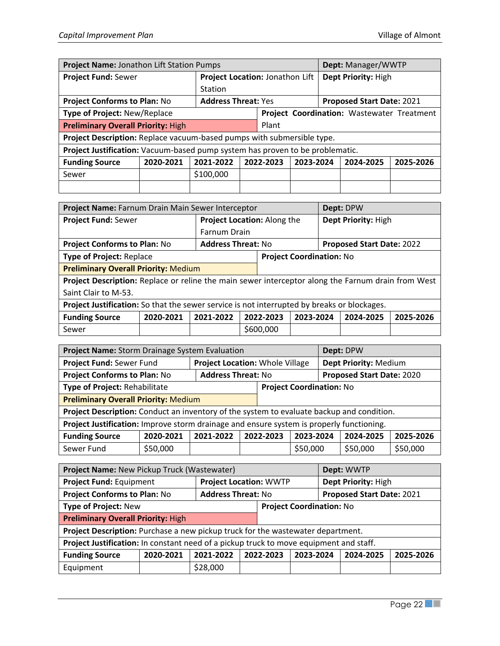| Project Name: Jonathon Lift Station Pumps                                     |           |                            |                                 |                                            |           |  | Dept: Manager/WWTP  |           |  |
|-------------------------------------------------------------------------------|-----------|----------------------------|---------------------------------|--------------------------------------------|-----------|--|---------------------|-----------|--|
| <b>Project Fund: Sewer</b>                                                    |           |                            | Project Location: Jonathon Lift |                                            |           |  | Dept Priority: High |           |  |
|                                                                               |           | Station                    |                                 |                                            |           |  |                     |           |  |
| <b>Project Conforms to Plan: No</b>                                           |           | <b>Address Threat: Yes</b> |                                 | Proposed Start Date: 2021                  |           |  |                     |           |  |
| Type of Project: New/Replace                                                  |           |                            |                                 | Project Coordination: Wastewater Treatment |           |  |                     |           |  |
| <b>Preliminary Overall Priority: High</b>                                     |           |                            | Plant                           |                                            |           |  |                     |           |  |
| Project Description: Replace vacuum-based pumps with submersible type.        |           |                            |                                 |                                            |           |  |                     |           |  |
| Project Justification: Vacuum-based pump system has proven to be problematic. |           |                            |                                 |                                            |           |  |                     |           |  |
| <b>Funding Source</b>                                                         | 2020-2021 | 2021-2022                  |                                 | 2022-2023                                  | 2023-2024 |  | 2024-2025           | 2025-2026 |  |
| Sewer                                                                         |           | \$100,000                  |                                 |                                            |           |  |                     |           |  |
|                                                                               |           |                            |                                 |                                            |           |  |                     |           |  |

| Project Name: Farnum Drain Main Sewer Interceptor                                                  |           |                           |                             |                                 |  |  | Dept: DPW           |           |
|----------------------------------------------------------------------------------------------------|-----------|---------------------------|-----------------------------|---------------------------------|--|--|---------------------|-----------|
| <b>Project Fund: Sewer</b>                                                                         |           |                           | Project Location: Along the |                                 |  |  | Dept Priority: High |           |
|                                                                                                    |           |                           | Farnum Drain                |                                 |  |  |                     |           |
| <b>Project Conforms to Plan: No</b>                                                                |           | <b>Address Threat: No</b> |                             | Proposed Start Date: 2022       |  |  |                     |           |
| <b>Type of Project: Replace</b>                                                                    |           |                           |                             | <b>Project Coordination: No</b> |  |  |                     |           |
| <b>Preliminary Overall Priority: Medium</b>                                                        |           |                           |                             |                                 |  |  |                     |           |
| Project Description: Replace or reline the main sewer interceptor along the Farnum drain from West |           |                           |                             |                                 |  |  |                     |           |
| Saint Clair to M-53.                                                                               |           |                           |                             |                                 |  |  |                     |           |
| Project Justification: So that the sewer service is not interrupted by breaks or blockages.        |           |                           |                             |                                 |  |  |                     |           |
| <b>Funding Source</b>                                                                              | 2020-2021 | 2021-2022                 | 2022-2023<br>2023-2024      |                                 |  |  | 2024-2025           | 2025-2026 |
| Sewer                                                                                              |           |                           |                             | \$600,000                       |  |  |                     |           |

| Project Name: Storm Drainage System Evaluation                                            |           |                           |                                 |                                     |          | Dept: DPW             |                           |           |
|-------------------------------------------------------------------------------------------|-----------|---------------------------|---------------------------------|-------------------------------------|----------|-----------------------|---------------------------|-----------|
| Project Fund: Sewer Fund                                                                  |           |                           | Project Location: Whole Village |                                     |          | Dept Priority: Medium |                           |           |
| <b>Project Conforms to Plan: No</b>                                                       |           | <b>Address Threat: No</b> |                                 |                                     |          |                       | Proposed Start Date: 2020 |           |
| Type of Project: Rehabilitate                                                             |           |                           |                                 | <b>Project Coordination: No</b>     |          |                       |                           |           |
| <b>Preliminary Overall Priority: Medium</b>                                               |           |                           |                                 |                                     |          |                       |                           |           |
| Project Description: Conduct an inventory of the system to evaluate backup and condition. |           |                           |                                 |                                     |          |                       |                           |           |
| Project Justification: Improve storm drainage and ensure system is properly functioning.  |           |                           |                                 |                                     |          |                       |                           |           |
| <b>Funding Source</b>                                                                     | 2020-2021 | 2021-2022                 |                                 | 2022-2023<br>2023-2024<br>2024-2025 |          |                       |                           | 2025-2026 |
| Sewer Fund                                                                                | \$50,000  |                           |                                 |                                     | \$50,000 |                       | \$50,000                  | \$50,000  |

| Project Name: New Pickup Truck (Wastewater)                                            |           |                               |  |                                     |  |  | Dept: WWTP |           |
|----------------------------------------------------------------------------------------|-----------|-------------------------------|--|-------------------------------------|--|--|------------|-----------|
| Project Fund: Equipment                                                                |           | <b>Project Location: WWTP</b> |  | Dept Priority: High                 |  |  |            |           |
| <b>Project Conforms to Plan: No</b>                                                    |           | <b>Address Threat: No</b>     |  | Proposed Start Date: 2021           |  |  |            |           |
| <b>Type of Project: New</b>                                                            |           |                               |  | <b>Project Coordination: No</b>     |  |  |            |           |
| <b>Preliminary Overall Priority: High</b>                                              |           |                               |  |                                     |  |  |            |           |
| Project Description: Purchase a new pickup truck for the wastewater department.        |           |                               |  |                                     |  |  |            |           |
| Project Justification: In constant need of a pickup truck to move equipment and staff. |           |                               |  |                                     |  |  |            |           |
| <b>Funding Source</b>                                                                  | 2020-2021 | 2021-2022                     |  | 2022-2023<br>2023-2024<br>2024-2025 |  |  |            | 2025-2026 |
| Equipment                                                                              |           | \$28,000                      |  |                                     |  |  |            |           |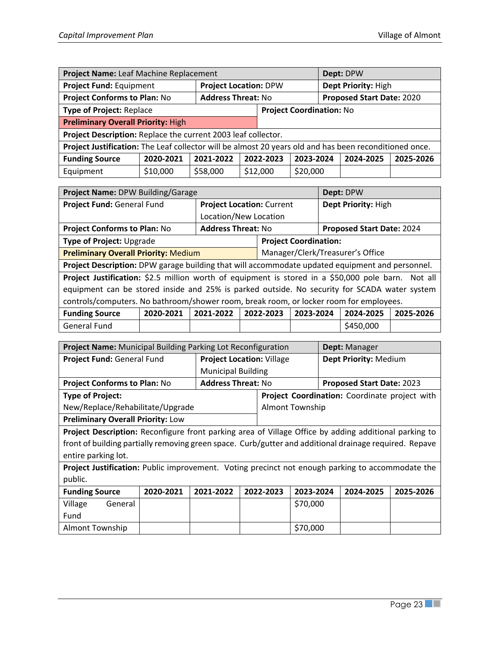| Project Name: Leaf Machine Replacement                                                                 |                           |           |                              |                                                  |          | Dept: DPW           |  |  |
|--------------------------------------------------------------------------------------------------------|---------------------------|-----------|------------------------------|--------------------------------------------------|----------|---------------------|--|--|
| Project Fund: Equipment                                                                                |                           |           | <b>Project Location: DPW</b> |                                                  |          | Dept Priority: High |  |  |
| <b>Project Conforms to Plan: No</b>                                                                    | <b>Address Threat: No</b> |           |                              | <b>Proposed Start Date: 2020</b>                 |          |                     |  |  |
| Type of Project: Replace                                                                               |                           |           |                              | <b>Project Coordination: No</b>                  |          |                     |  |  |
| <b>Preliminary Overall Priority: High</b>                                                              |                           |           |                              |                                                  |          |                     |  |  |
| Project Description: Replace the current 2003 leaf collector.                                          |                           |           |                              |                                                  |          |                     |  |  |
| Project Justification: The Leaf collector will be almost 20 years old and has been reconditioned once. |                           |           |                              |                                                  |          |                     |  |  |
| <b>Funding Source</b>                                                                                  | 2020-2021                 | 2021-2022 |                              | 2022-2023<br>2023-2024<br>2025-2026<br>2024-2025 |          |                     |  |  |
| Equipment                                                                                              | \$10,000                  | \$58,000  |                              | \$12,000                                         | \$20,000 |                     |  |  |

| Project Name: DPW Building/Garage                                                                  |           |           |                                  |  |  |  | Dept: DPW                 |           |  |
|----------------------------------------------------------------------------------------------------|-----------|-----------|----------------------------------|--|--|--|---------------------------|-----------|--|
| Project Fund: General Fund                                                                         |           |           | <b>Project Location: Current</b> |  |  |  | Dept Priority: High       |           |  |
|                                                                                                    |           |           | Location/New Location            |  |  |  |                           |           |  |
| <b>Project Conforms to Plan: No</b>                                                                |           |           | <b>Address Threat: No</b>        |  |  |  | Proposed Start Date: 2024 |           |  |
| Type of Project: Upgrade                                                                           |           |           | <b>Project Coordination:</b>     |  |  |  |                           |           |  |
| Manager/Clerk/Treasurer's Office<br><b>Preliminary Overall Priority: Medium</b>                    |           |           |                                  |  |  |  |                           |           |  |
| Project Description: DPW garage building that will accommodate updated equipment and personnel.    |           |           |                                  |  |  |  |                           |           |  |
| Project Justification: \$2.5 million worth of equipment is stored in a \$50,000 pole barn. Not all |           |           |                                  |  |  |  |                           |           |  |
| equipment can be stored inside and 25% is parked outside. No security for SCADA water system       |           |           |                                  |  |  |  |                           |           |  |
| controls/computers. No bathroom/shower room, break room, or locker room for employees.             |           |           |                                  |  |  |  |                           |           |  |
| <b>Funding Source</b>                                                                              | 2020-2021 | 2021-2022 | 2023-2024<br>2022-2023           |  |  |  | 2024-2025                 | 2025-2026 |  |
| General Fund                                                                                       |           |           |                                  |  |  |  | \$450,000                 |           |  |

| <b>Project Name:</b> Municipal Building Parking Lot Reconfiguration                                    |                                                                                                       |                                                  |                                  |  |          | <b>Dept:</b> Manager      |                                               |           |  |
|--------------------------------------------------------------------------------------------------------|-------------------------------------------------------------------------------------------------------|--------------------------------------------------|----------------------------------|--|----------|---------------------------|-----------------------------------------------|-----------|--|
| Project Fund: General Fund                                                                             |                                                                                                       |                                                  | <b>Project Location: Village</b> |  |          | Dept Priority: Medium     |                                               |           |  |
|                                                                                                        |                                                                                                       |                                                  | <b>Municipal Building</b>        |  |          |                           |                                               |           |  |
| <b>Project Conforms to Plan: No</b>                                                                    |                                                                                                       |                                                  | <b>Address Threat: No</b>        |  |          | Proposed Start Date: 2023 |                                               |           |  |
| <b>Type of Project:</b>                                                                                |                                                                                                       |                                                  |                                  |  |          |                           | Project Coordination: Coordinate project with |           |  |
| New/Replace/Rehabilitate/Upgrade                                                                       |                                                                                                       |                                                  | <b>Almont Township</b>           |  |          |                           |                                               |           |  |
| <b>Preliminary Overall Priority: Low</b>                                                               |                                                                                                       |                                                  |                                  |  |          |                           |                                               |           |  |
|                                                                                                        | Project Description: Reconfigure front parking area of Village Office by adding additional parking to |                                                  |                                  |  |          |                           |                                               |           |  |
| front of building partially removing green space. Curb/gutter and additional drainage required. Repave |                                                                                                       |                                                  |                                  |  |          |                           |                                               |           |  |
| entire parking lot.                                                                                    |                                                                                                       |                                                  |                                  |  |          |                           |                                               |           |  |
| Project Justification: Public improvement. Voting precinct not enough parking to accommodate the       |                                                                                                       |                                                  |                                  |  |          |                           |                                               |           |  |
| public.                                                                                                |                                                                                                       |                                                  |                                  |  |          |                           |                                               |           |  |
| <b>Funding Source</b>                                                                                  | 2020-2021                                                                                             | 2021-2022<br>2022-2023<br>2023-2024<br>2024-2025 |                                  |  |          |                           |                                               | 2025-2026 |  |
| Village<br>General                                                                                     |                                                                                                       |                                                  |                                  |  | \$70,000 |                           |                                               |           |  |
| Fund                                                                                                   |                                                                                                       |                                                  |                                  |  |          |                           |                                               |           |  |
| <b>Almont Township</b>                                                                                 |                                                                                                       |                                                  | \$70,000                         |  |          |                           |                                               |           |  |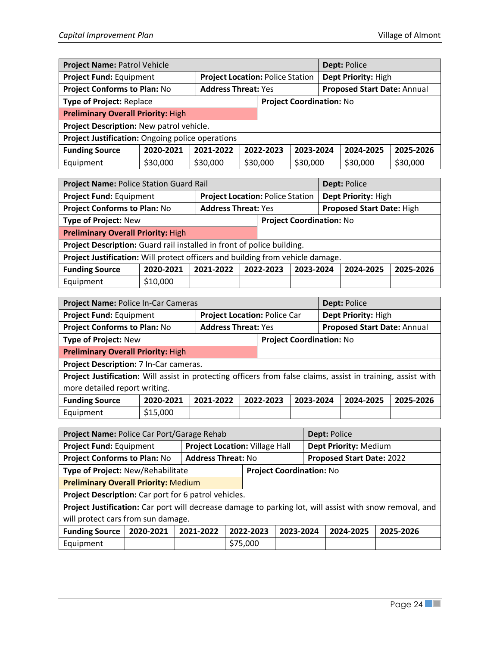| Project Name: Patrol Vehicle                     |                                                                   |           |                                     |                                                                |          | Dept: Police |          |           |  |
|--------------------------------------------------|-------------------------------------------------------------------|-----------|-------------------------------------|----------------------------------------------------------------|----------|--------------|----------|-----------|--|
| Project Fund: Equipment                          |                                                                   |           |                                     | Dept Priority: High<br><b>Project Location: Police Station</b> |          |              |          |           |  |
|                                                  | <b>Project Conforms to Plan: No</b><br><b>Address Threat: Yes</b> |           |                                     | Proposed Start Date: Annual                                    |          |              |          |           |  |
| <b>Type of Project: Replace</b>                  |                                                                   |           |                                     | <b>Project Coordination: No</b>                                |          |              |          |           |  |
| <b>Preliminary Overall Priority: High</b>        |                                                                   |           |                                     |                                                                |          |              |          |           |  |
| Project Description: New patrol vehicle.         |                                                                   |           |                                     |                                                                |          |              |          |           |  |
| Project Justification: Ongoing police operations |                                                                   |           |                                     |                                                                |          |              |          |           |  |
| <b>Funding Source</b>                            | 2020-2021                                                         | 2021-2022 | 2022-2023<br>2023-2024<br>2024-2025 |                                                                |          |              |          | 2025-2026 |  |
| Equipment                                        | \$30,000                                                          | \$30,000  |                                     | \$30,000                                                       | \$30,000 |              | \$30,000 | \$30,000  |  |

| Project Name: Police Station Guard Rail                                        |           |           |                            |                                     |                     | Dept: Police                     |  |           |  |
|--------------------------------------------------------------------------------|-----------|-----------|----------------------------|-------------------------------------|---------------------|----------------------------------|--|-----------|--|
| Project Fund: Equipment<br><b>Project Location: Police Station</b>             |           |           |                            |                                     | Dept Priority: High |                                  |  |           |  |
| Project Conforms to Plan: No                                                   |           |           | <b>Address Threat: Yes</b> |                                     |                     | <b>Proposed Start Date: High</b> |  |           |  |
| <b>Type of Project: New</b>                                                    |           |           |                            | <b>Project Coordination: No</b>     |                     |                                  |  |           |  |
| <b>Preliminary Overall Priority: High</b>                                      |           |           |                            |                                     |                     |                                  |  |           |  |
| Project Description: Guard rail installed in front of police building.         |           |           |                            |                                     |                     |                                  |  |           |  |
| Project Justification: Will protect officers and building from vehicle damage. |           |           |                            |                                     |                     |                                  |  |           |  |
| <b>Funding Source</b>                                                          | 2020-2021 | 2021-2022 |                            | 2022-2023<br>2023-2024<br>2024-2025 |                     |                                  |  | 2025-2026 |  |
| Equipment                                                                      | \$10,000  |           |                            |                                     |                     |                                  |  |           |  |

| Project Name: Police In-Car Cameras                                                                          |                                                                |           |                              |           |                     |                             | Dept: Police |           |  |  |
|--------------------------------------------------------------------------------------------------------------|----------------------------------------------------------------|-----------|------------------------------|-----------|---------------------|-----------------------------|--------------|-----------|--|--|
| Project Fund: Equipment                                                                                      |                                                                |           | Project Location: Police Car |           | Dept Priority: High |                             |              |           |  |  |
| <b>Project Conforms to Plan: No</b>                                                                          |                                                                |           | <b>Address Threat: Yes</b>   |           |                     | Proposed Start Date: Annual |              |           |  |  |
|                                                                                                              | <b>Type of Project: New</b><br><b>Project Coordination: No</b> |           |                              |           |                     |                             |              |           |  |  |
| <b>Preliminary Overall Priority: High</b>                                                                    |                                                                |           |                              |           |                     |                             |              |           |  |  |
| Project Description: 7 In-Car cameras.                                                                       |                                                                |           |                              |           |                     |                             |              |           |  |  |
| Project Justification: Will assist in protecting officers from false claims, assist in training, assist with |                                                                |           |                              |           |                     |                             |              |           |  |  |
| more detailed report writing.                                                                                |                                                                |           |                              |           |                     |                             |              |           |  |  |
| <b>Funding Source</b>                                                                                        | 2020-2021                                                      | 2021-2022 |                              | 2022-2023 | 2023-2024           |                             | 2024-2025    | 2025-2026 |  |  |

| Funding Source |          | ZUZU-ZUZI   ZUZI-ZUZZ   ZUZZ-ZUZ3   ZUZ3-ZUZ4   ZUZ4-ZUZ5   ZUZ5-ZUZ6 |  |  |
|----------------|----------|-----------------------------------------------------------------------|--|--|
| Equipment      | \$15,000 |                                                                       |  |  |

| Project Name: Police Car Port/Garage Rehab           |                                    |           |                                       |          |                                 | Dept: Police              |                       |                                                                                                         |  |  |  |
|------------------------------------------------------|------------------------------------|-----------|---------------------------------------|----------|---------------------------------|---------------------------|-----------------------|---------------------------------------------------------------------------------------------------------|--|--|--|
| Project Fund: Equipment                              |                                    |           | <b>Project Location: Village Hall</b> |          |                                 |                           | Dept Priority: Medium |                                                                                                         |  |  |  |
| <b>Project Conforms to Plan: No</b>                  |                                    |           | <b>Address Threat: No</b>             |          |                                 | Proposed Start Date: 2022 |                       |                                                                                                         |  |  |  |
| Type of Project: New/Rehabilitate                    |                                    |           |                                       |          | <b>Project Coordination: No</b> |                           |                       |                                                                                                         |  |  |  |
| <b>Preliminary Overall Priority: Medium</b>          |                                    |           |                                       |          |                                 |                           |                       |                                                                                                         |  |  |  |
| Project Description: Car port for 6 patrol vehicles. |                                    |           |                                       |          |                                 |                           |                       |                                                                                                         |  |  |  |
|                                                      |                                    |           |                                       |          |                                 |                           |                       | Project Justification: Car port will decrease damage to parking lot, will assist with snow removal, and |  |  |  |
|                                                      | will protect cars from sun damage. |           |                                       |          |                                 |                           |                       |                                                                                                         |  |  |  |
| <b>Funding Source</b>                                | 2020-2021                          | 2021-2022 | 2022-2023<br>2023-2024                |          |                                 |                           | 2024-2025             | 2025-2026                                                                                               |  |  |  |
| Equipment                                            |                                    |           |                                       | \$75,000 |                                 |                           |                       |                                                                                                         |  |  |  |